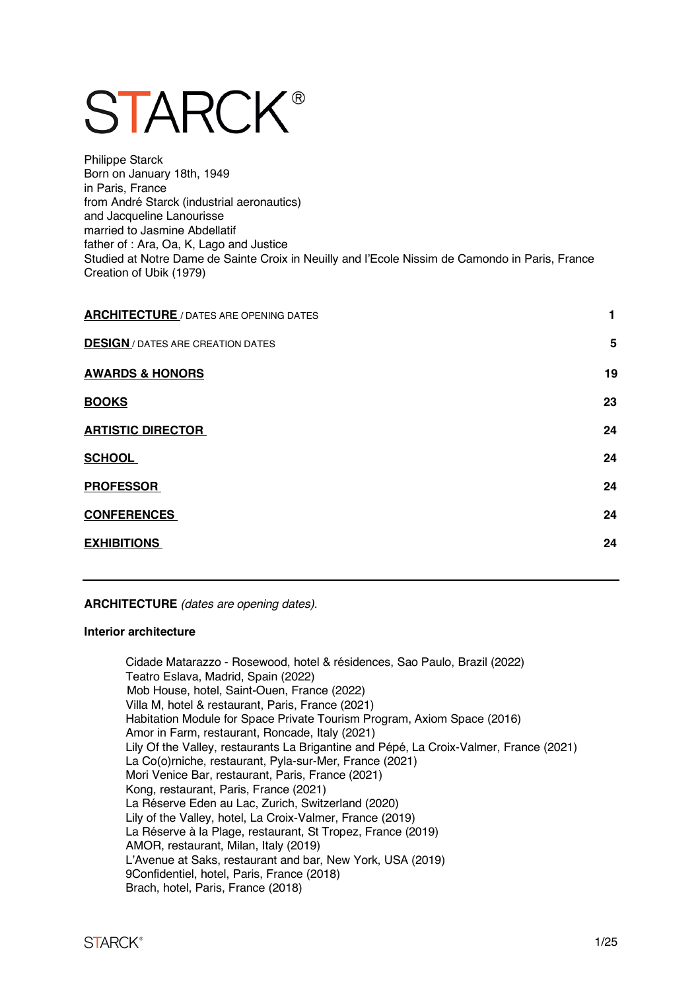# **STARCK®**

Philippe Starck Born on January 18th, 1949 in Paris, France from André Starck (industrial aeronautics) and Jacqueline Lanourisse married to Jasmine Abdellatif father of : Ara, Oa, K, Lago and Justice Studied at Notre Dame de Sainte Croix in Neuilly and l'Ecole Nissim de Camondo in Paris, France Creation of Ubik (1979)

| <b>ARCHITECTURE</b> / DATES ARE OPENING DATES |    |
|-----------------------------------------------|----|
| <b>DESIGN</b> / DATES ARE CREATION DATES      | 5  |
| <b>AWARDS &amp; HONORS</b>                    | 19 |
| <b>BOOKS</b>                                  | 23 |
| <b>ARTISTIC DIRECTOR</b>                      | 24 |
| <b>SCHOOL</b>                                 | 24 |
| <b>PROFESSOR</b>                              | 24 |
| <b>CONFERENCES</b>                            | 24 |
| <b>EXHIBITIONS</b>                            | 24 |

**ARCHITECTURE** *(dates are opening dates)*.

#### **Interior architecture**

Cidade Matarazzo - Rosewood, hotel & résidences, Sao Paulo, Brazil (2022) Teatro Eslava, Madrid, Spain (2022) Mob House, hotel, Saint-Ouen, France (2022) Villa M, hotel & restaurant, Paris, France (2021) Habitation Module for Space Private Tourism Program, Axiom Space (2016) Amor in Farm, restaurant, Roncade, Italy (2021) Lily Of the Valley, restaurants La Brigantine and Pépé, La Croix-Valmer, France (2021) La Co(o)rniche, restaurant, Pyla-sur-Mer, France (2021) Mori Venice Bar, restaurant, Paris, France (2021) Kong, restaurant, Paris, France (2021) La Réserve Eden au Lac, Zurich, Switzerland (2020) Lily of the Valley, hotel, La Croix-Valmer, France (2019) La Réserve à la Plage, restaurant, St Tropez, France (2019) AMOR, restaurant, Milan, Italy (2019) L'Avenue at Saks, restaurant and bar, New York, USA (2019) 9Confidentiel, hotel, Paris, France (2018) Brach, hotel, Paris, France (2018)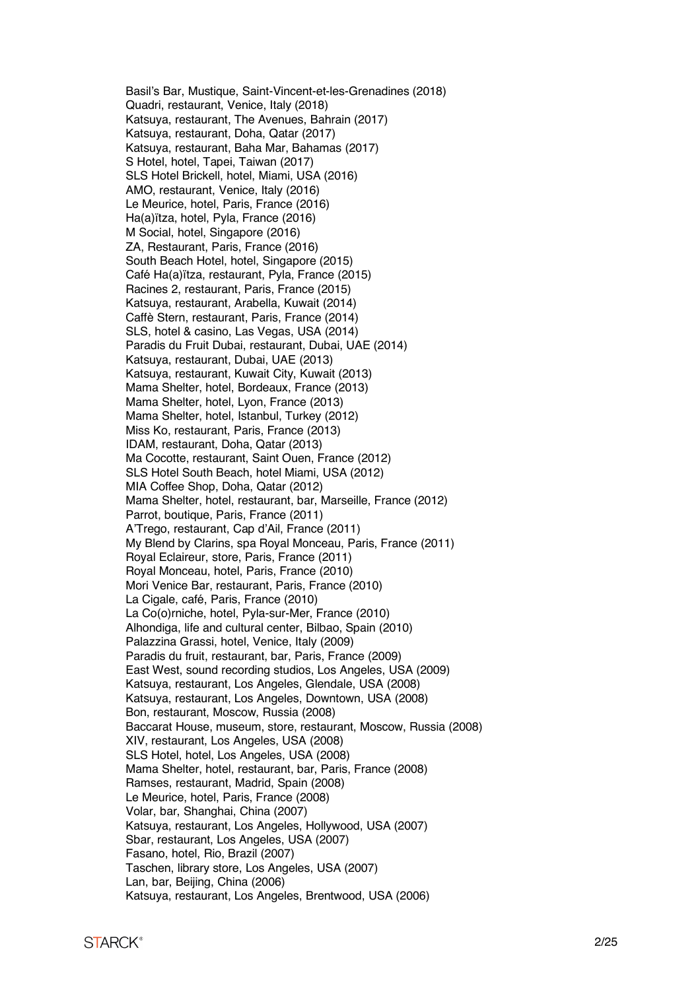Basil's Bar, Mustique, Saint-Vincent-et-les-Grenadines (2018) Quadri, restaurant, Venice, Italy (2018) Katsuya, restaurant, The Avenues, Bahrain (2017) Katsuya, restaurant, Doha, Qatar (2017) Katsuya, restaurant, Baha Mar, Bahamas (2017) S Hotel, hotel, Tapei, Taiwan (2017) SLS Hotel Brickell, hotel, Miami, USA (2016) AMO, restaurant, Venice, Italy (2016) Le Meurice, hotel, Paris, France (2016) Ha(a)ïtza, hotel, Pyla, France (2016) M Social, hotel, Singapore (2016) ZA, Restaurant, Paris, France (2016) South Beach Hotel, hotel, Singapore (2015) Café Ha(a)ïtza, restaurant, Pyla, France (2015) Racines 2, restaurant, Paris, France (2015) Katsuya, restaurant, Arabella, Kuwait (2014) Caffè Stern, restaurant, Paris, France (2014) SLS, hotel & casino, Las Vegas, USA (2014) Paradis du Fruit Dubai, restaurant, Dubai, UAE (2014) Katsuya, restaurant, Dubai, UAE (2013) Katsuya, restaurant, Kuwait City, Kuwait (2013) Mama Shelter, hotel, Bordeaux, France (2013) Mama Shelter, hotel, Lyon, France (2013) Mama Shelter, hotel, Istanbul, Turkey (2012) Miss Ko, restaurant, Paris, France (2013) IDAM, restaurant, Doha, Qatar (2013) Ma Cocotte, restaurant, Saint Ouen, France (2012 ) SLS Hotel South Beach, hotel Miami, USA (2012) MIA Coffee Shop, Doha, Qatar (2012) Mama Shelter, hotel, restaurant, bar, Marseille, France (2012) Parrot, boutique, Paris, France (2011) A'Trego, restaurant, Cap d'Ail, France (2011) My Blend by Clarins, spa Royal Monceau, Paris, France (2011) Royal Eclaireur, store, Paris, France (2011) Royal Monceau, hotel, Paris, France (2010) Mori Venice Bar, restaurant, Paris, France (2010) La Cigale, café, Paris, France (2010) La Co(o)rniche, hotel, Pyla -sur -Mer, France (2010) Alhondiga, life and cultural center, Bilbao, Spain (2010) Palazzina Grassi, hotel, Venice, Italy (2009) Paradis du fruit, restaurant, bar, Paris, France (2009) East West, sound recording studios, Los Angeles, USA (2009) Katsuya, restaurant, Los Angeles, Glendale, USA (2008) Katsuya, restaurant, Los Angeles, Downtown, USA (2008) Bon, restaurant, Moscow, Russia (2008) Baccarat House, museum, store, restaurant, Moscow, Russia (2008) XIV, restaurant, Los Angeles, USA (2008) SLS Hotel, hotel, Los Angeles, USA (2008) Mama Shelter, hotel, restaurant, bar, Paris, France (2008) Ramses, restaurant, Madrid, Spain (2008) Le Meurice, hotel, Paris, France (2008) Volar, bar, Shanghai, China (2007) Katsuya, restaurant, Los Angeles, Hollywood, USA (2007) Sbar, restaurant, Los Angeles, USA (2007) Fasano, hotel, Rio, Brazil (2007) Taschen, library store, Los Angeles, USA (2007) Lan, bar, Beijing, China (2006) Katsuya, restaurant, Los Angeles, Brentwood, USA (2006)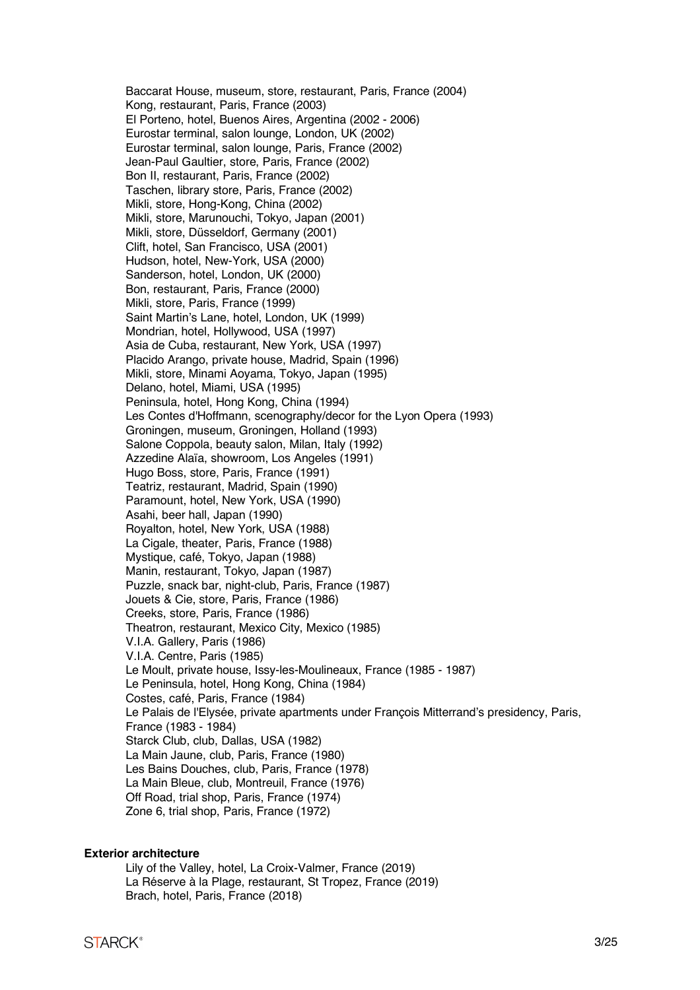Baccarat House, museum, store, restaurant, Paris, France (2004) Kong, restaurant, Paris, France (2003) El Porteno, hotel, Buenos Aires, Argentina (2002 - 2006) Eurostar terminal, salon lounge, London, UK (2002) Eurostar terminal, salon lounge, Paris, France (2002) Jean-Paul Gaultier, store, Paris, France (2002) Bon II, restaurant, Paris, France (2002) Taschen, library store, Paris, France (2002) Mikli, store, Hong-Kong, China (2002) Mikli, store, Marunouchi, Tokyo, Japan (2001) Mikli, store, Düsseldorf, Germany (2001) Clift, hotel, San Francisco, USA (2001) Hudson, hotel, New-York, USA (2000) Sanderson, hotel, London, UK (2000) Bon, restaurant, Paris, France (2000) Mikli, store, Paris, France (1999) Saint Martin's Lane, hotel, London, UK (1999) Mondrian, hotel, Hollywood, USA (1997) Asia de Cuba, restaurant, New York, USA (1997) Placido Arango, private house, Madrid, Spain (1996) Mikli, store, Minami Aoyama, Tokyo, Japan (1995) Delano, hotel, Miami, USA (1995) Peninsula, hotel, Hong Kong, China (1994) Les Contes d'Hoffmann, scenography/decor for the Lyon Opera (1993) Groningen, museum, Groningen, Holland (1993) Salone Coppola, beauty salon, Milan, Italy (1992) Azzedine Alaïa, showroom, Los Angeles (1991) Hugo Boss, store, Paris, France (1991) Teatriz, restaurant, Madrid, Spain (1990) Paramount, hotel, New York, USA (1990) Asahi, beer hall, Japan (1990) Royalton, hotel, New York, USA (1988) La Cigale, theater, Paris, France (1988) Mystique, café, Tokyo, Japan (1988) Manin, restaurant, Tokyo, Japan (1987) Puzzle, snack bar, night-club, Paris, France (1987) Jouets & Cie, store, Paris, France (1986) Creeks, store, Paris, France (1986) Theatron, restaurant, Mexico City, Mexico (1985) V.I.A. Gallery, Paris (1986) V.I.A. Centre, Paris (1985) Le Moult, private house, Issy-les-Moulineaux, France (1985 - 1987) Le Peninsula, hotel, Hong Kong, China (1984) Costes, café, Paris, France (1984) Le Palais de l'Elysée, private apartments under François Mitterrand's presidency, Paris, France (1983 - 1984) Starck Club, club, Dallas, USA (1982) La Main Jaune, club, Paris, France (1980) Les Bains Douches, club, Paris, France (1978) La Main Bleue, club, Montreuil, France (1976) Off Road, trial shop, Paris, France (1974) Zone 6, trial shop, Paris, France (1972)

## **Exterior architecture**

Lily of the Valley, hotel, La Croix-Valmer, France (2019) La Réserve à la Plage, restaurant, St Tropez, France (2019) Brach, hotel, Paris, France (2018)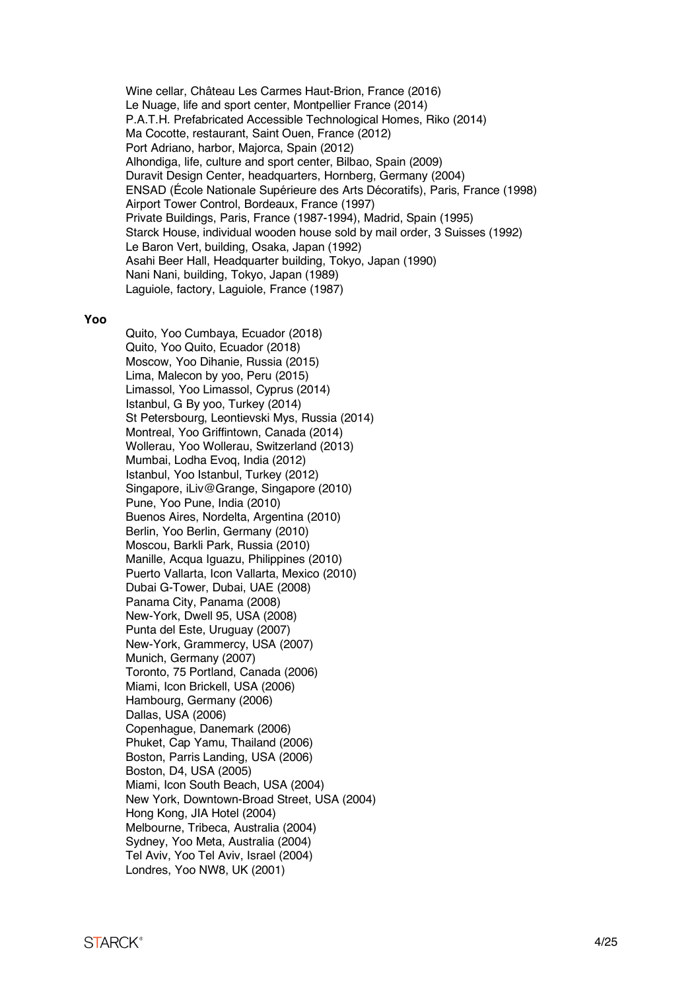Wine cellar, Château Les Carmes Haut-Brion, France (2016) Le Nuage, life and sport center, Montpellier France (2014) P.A.T.H. Prefabricated Accessible Technological Homes, Riko (2014) Ma Cocotte, restaurant, Saint Ouen, France (2012) Port Adriano, harbor, Majorca, Spain (2012) Alhondiga, life, culture and sport center, Bilbao, Spain (2009) Duravit Design Center, headquarters, Hornberg, Germany (2004) ENSAD (École Nationale Supérieure des Arts Décoratifs), Paris, France (1998) Airport Tower Control, Bordeaux, France (1997) Private Buildings, Paris, France (1987-1994), Madrid, Spain (1995) Starck House, individual wooden house sold by mail order, 3 Suisses (1992) Le Baron Vert, building, Osaka, Japan (1992) Asahi Beer Hall, Headquarter building, Tokyo, Japan (1990) Nani Nani, building, Tokyo, Japan (1989) Laguiole, factory, Laguiole, France (1987)

#### **Yoo**

Quito, Yoo Cumbaya, Ecuador (2018) Quito, Yoo Quito, Ecuador (2018) Moscow, Yoo Dihanie, Russia (2015) Lima, Malecon by yoo, Peru (2015) Limassol, Yoo Limassol, Cyprus (2014) Istanbul, G By yoo, Turkey (2014) St Petersbourg, Leontievski Mys, Russia (2014) Montreal, Yoo Griffintown, Canada (2014) Wollerau, Yoo Wollerau, Switzerland (2013) Mumbai, Lodha Evoq, India (2012) Istanbul, Yoo Istanbul, Turkey (2012) Singapore, iLiv@Grange, Singapore (2010) Pune, Yoo Pune, India (2010) Buenos Aires, Nordelta, Argentina (2010) Berlin, Yoo Berlin, Germany (2010) Moscou, Barkli Park, Russia (2010) Manille, Acqua Iguazu, Philippines (2010) Puerto Vallarta, Icon Vallarta, Mexico (2010) Dubai G-Tower, Dubai, UAE (2008) Panama City, Panama (2008) New-York, Dwell 95, USA (2008) Punta del Este, Uruguay (2007) New-York, Grammercy, USA (2007) Munich, Germany (2007) Toronto, 75 Portland, Canada (2006) Miami, Icon Brickell, USA (2006) Hambourg, Germany (2006) Dallas, USA (2006) Copenhague, Danemark (2006) Phuket, Cap Yamu, Thailand (2006) Boston, Parris Landing, USA (2006) Boston, D4, USA (2005) Miami, Icon South Beach, USA (2004) New York, Downtown-Broad Street, USA (2004) Hong Kong, JIA Hotel (2004) Melbourne, Tribeca, Australia (2004) Sydney, Yoo Meta, Australia (2004) Tel Aviv, Yoo Tel Aviv, Israel (2004) Londres, Yoo NW8, UK (2001)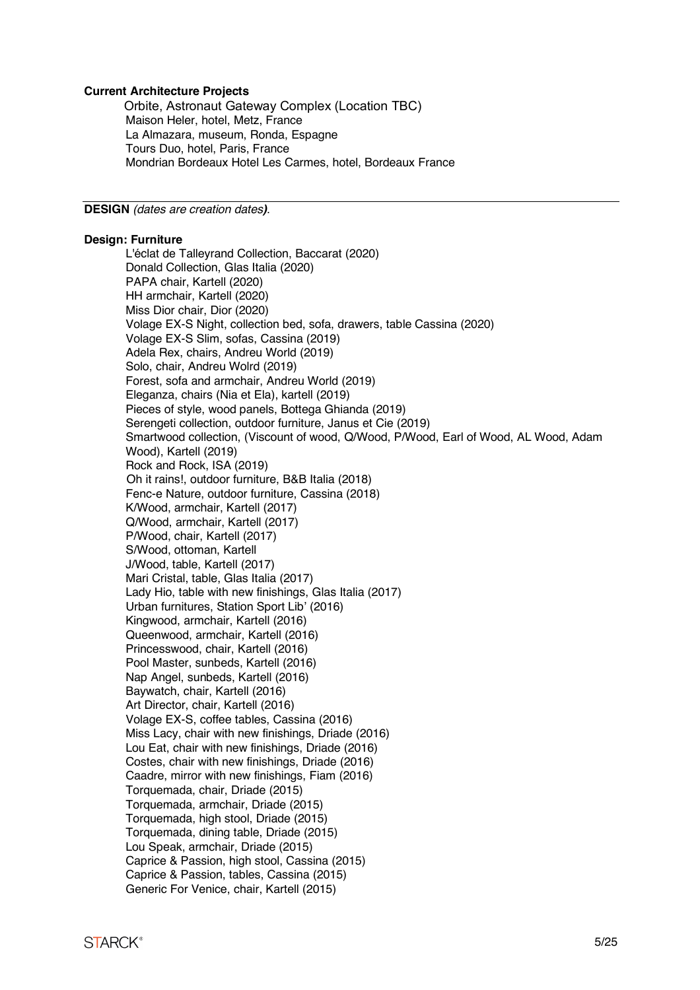## **Current Architecture Projects**

 Orbite, Astronaut Gateway Complex (Location TBC) Maison Heler, hotel, Metz, France La Almazara, museum, Ronda, Espagne Tours Duo, hotel, Paris, France Mondrian Bordeaux Hotel Les Carmes, hotel, Bordeaux France

#### **DESIGN** *(dates are creation dates)*.

#### **Design: Furniture**

L'éclat de Talleyrand Collection, Baccarat (2020) Donald Collection, Glas Italia (2020) PAPA chair, Kartell (2020) HH armchair, Kartell (2020) Miss Dior chair, Dior (2020) Volage EX-S Night, collection bed, sofa, drawers, table Cassina (2020) Volage EX-S Slim, sofas, Cassina (2019) Adela Rex, chairs, Andreu World (2019) Solo, chair, Andreu Wolrd (2019) Forest, sofa and armchair, Andreu World (2019) Eleganza, chairs (Nia et Ela), kartell (2019) Pieces of style, wood panels, Bottega Ghianda (2019) Serengeti collection, outdoor furniture, Janus et Cie (2019) Smartwood collection, (Viscount of wood, Q/Wood, P/Wood, Earl of Wood, AL Wood, Adam Wood), Kartell (2019) Rock and Rock, ISA (2019) Oh it rains!, outdoor furniture, B&B Italia (2018) Fenc-e Nature, outdoor furniture, Cassina (2018) K/Wood, armchair, Kartell (2017) Q/Wood, armchair, Kartell (2017) P/Wood, chair, Kartell (2017) S/Wood, ottoman, Kartell J/Wood, table, Kartell (2017) Mari Cristal, table, Glas Italia (2017) Lady Hio, table with new finishings, Glas Italia (2017) Urban furnitures, Station Sport Lib' (2016) Kingwood, armchair, Kartell (2016) Queenwood, armchair, Kartell (2016) Princesswood, chair, Kartell (2016) Pool Master, sunbeds, Kartell (2016) Nap Angel, sunbeds, Kartell (2016) Baywatch, chair, Kartell (2016) Art Director, chair, Kartell (2016) Volage EX-S, coffee tables, Cassina (2016) Miss Lacy, chair with new finishings, Driade (2016) Lou Eat, chair with new finishings, Driade (2016) Costes, chair with new finishings, Driade (2016) Caadre, mirror with new finishings, Fiam (2016) Torquemada, chair, Driade (2015) Torquemada, armchair, Driade (2015) Torquemada, high stool, Driade (2015) Torquemada, dining table, Driade (2015) Lou Speak, armchair, Driade (2015) Caprice & Passion, high stool, Cassina (2015) Caprice & Passion, tables, Cassina (2015) Generic For Venice, chair, Kartell (2015)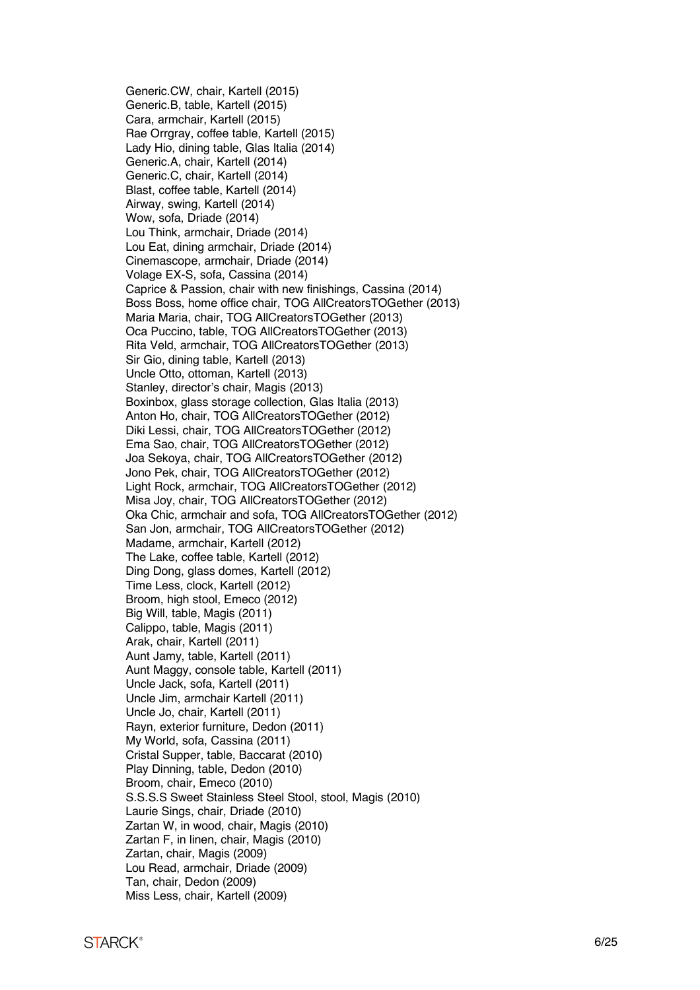Generic.CW, chair, Kartell (2015) Generic.B, table, Kartell (2015) Cara, armchair, Kartell (2015) Rae Orrgray, coffee table, Kartell (2015) Lady Hio, dining table, Glas Italia (2014) Generic.A, chair, Kartell (2014) Generic.C, chair, Kartell (2014) Blast, coffee table, Kartell (2014) Airway, swing, Kartell (2014) Wow, sofa, Driade (2014) Lou Think, armchair, Driade (2014) Lou Eat, dining armchair, Driade (2014) Cinemascope, armchair, Driade (2014) Volage EX -S, sofa, Cassina (2014) Caprice & Passion, chair with new finishings, Cassina (2014) Boss Boss, home office chair, TOG AllCreatorsTOGether (2013) Maria Maria, chair, TOG AllCreatorsTOGether (2013) Oca Puccino, table, TOG AllCreatorsTOGether (2013) Rita Veld, armchair, TOG AllCreatorsTOGether (2013) Sir Gio, dining table, Kartell (2013) Uncle Otto, ottoman, Kartell (2013) Stanley, director's chair, Magis (2013) Boxinbox, glass storage collection, Glas Italia (2013) Anton Ho, chair, TOG AllCreatorsTOGether (2012) Diki Lessi, chair, TOG AllCreatorsTOGether (2012) Ema Sao, chair, TOG AllCreatorsTOGether (2012) Joa Sekoya, chair, TOG AllCreatorsTOGether (2012) Jono Pek, chair, TOG AllCreatorsTOGether (2012) Light Rock, armchair, TOG AllCreatorsTOGether (2012) Misa Joy, chair, TOG AllCreatorsTOGether (2012) Oka Chic, armchair and sofa, TOG AllCreatorsTOGether (2012) San Jon, armchair, TOG AllCreatorsTOGether (2012) Madame, armchair, Kartell (2012) The Lake, coffee table, Kartell (2012) Ding Dong, glass domes, Kartell (2012) Time Less, clock, Kartell (2012) Broom, high stool, Emeco (2012) Big Will, table, Magis (2011) Calippo, table, Magis (2011) Arak, chair, Kartell (2011) Aunt Jamy, table, Kartell (2011) Aunt Maggy, console table, Kartell (2011) Uncle Jack, sofa, Kartell (2011) Uncle Jim, armchair Kartell (2011) Uncle Jo, chair, Kartell (2011) Rayn, exterior furniture, Dedon (2011) My World, sofa, Cassina (2011) Cristal Supper, table, Baccarat (2010) Play Dinning, table, Dedon (2010) Broom, chair, Emeco (2010) S.S.S.S Sweet Stainless Steel Stool, stool, Magis (2010) Laurie Sings, chair, Driade (2010) Zartan W, in wood, chair, Magis (2010) Zartan F, in linen, chair, Magis (2010) Zartan, chair, Magis (2009) Lou Read, armchair, Driade (2009) Tan, chair, Dedon (2009) Miss Less, chair, Kartell (2009)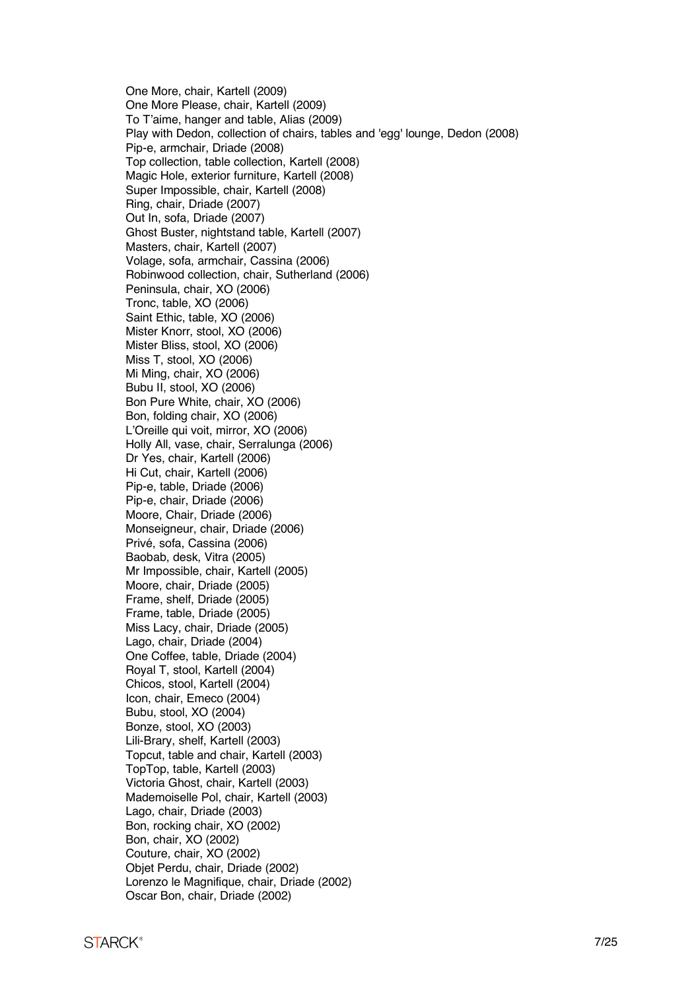One More, chair, Kartell (2009) One More Please, chair, Kartell (2009) To T'aime, hanger and table, Alias (2009) Play with Dedon, collection of chairs, tables and 'egg' lounge, Dedon (2008) Pip-e, armchair, Driade (2008) Top collection, table collection, Kartell (2008) Magic Hole, exterior furniture, Kartell (2008) Super Impossible, chair, Kartell (2008) Ring, chair, Driade (2007) Out In, sofa, Driade (2007) Ghost Buster, nightstand table, Kartell (2007) Masters, chair, Kartell (2007) Volage, sofa, armchair, Cassina (2006) Robinwood collection, chair, Sutherland (2006) Peninsula, chair, XO (2006) Tronc, table, XO (2006) Saint Ethic, table, XO (2006) Mister Knorr, stool, XO (2006) Mister Bliss, stool, XO (2006) Miss T, stool, XO (2006) Mi Ming, chair, XO (2006) Bubu II, stool, XO (2006) Bon Pure White, chair, XO (2006) Bon, folding chair, XO (2006) L'Oreille qui voit, mirror, XO (2006) Holly All, vase, chair, Serralunga (2006) Dr Yes, chair, Kartell (2006) Hi Cut, chair, Kartell (2006) Pip-e, table, Driade (2006) Pip-e, chair, Driade (2006) Moore, Chair, Driade (2006) Monseigneur, chair, Driade (2006) Privé, sofa, Cassina (2006) Baobab, desk, Vitra (2005) Mr Impossible, chair, Kartell (2005) Moore, chair, Driade (2005) Frame, shelf, Driade (2005) Frame, table, Driade (2005) Miss Lacy, chair, Driade (2005) Lago, chair, Driade (2004) One Coffee, table, Driade (2004) Royal T, stool, Kartell (2004) Chicos, stool, Kartell (2004) Icon, chair, Emeco (2004) Bubu, stool, XO (2004) Bonze, stool, XO (2003) Lili-Brary, shelf, Kartell (2003) Topcut, table and chair, Kartell (2003) TopTop, table, Kartell (2003) Victoria Ghost, chair, Kartell (2003) Mademoiselle Pol, chair, Kartell (2003) Lago, chair, Driade (2003) Bon, rocking chair, XO (2002) Bon, chair, XO (2002) Couture, chair, XO (2002) Objet Perdu, chair, Driade (2002) Lorenzo le Magnifique, chair, Driade (2002) Oscar Bon, chair, Driade (2002)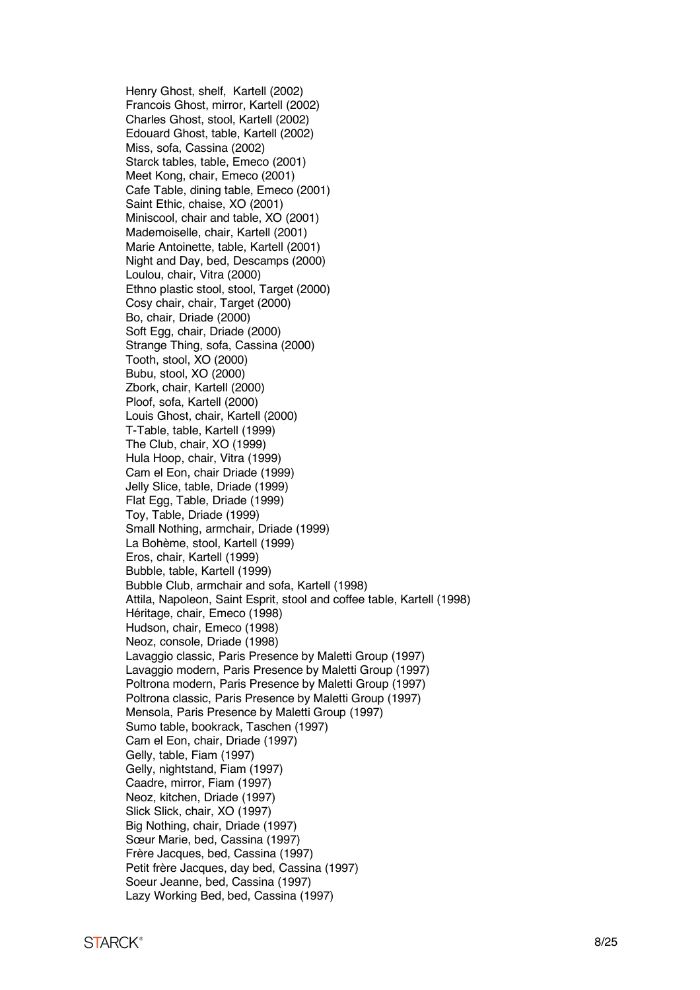Henry Ghost, shelf, Kartell (2002) Francois Ghost, mirror, Kartell (2002) Charles Ghost, stool, Kartell (2002) Edouard Ghost, table, Kartell (2002) Miss, sofa, Cassina (2002) Starck tables, table, Emeco (2001) Meet Kong, chair, Emeco (2001) Cafe Table, dining table, Emeco (2001) Saint Ethic, chaise, XO (2001) Miniscool, chair and table, XO (2001) Mademoiselle, chair, Kartell (2001) Marie Antoinette, table, Kartell (2001) Night and Day, bed, Descamps (2000) Loulou, chair, Vitra (2000) Ethno plastic stool, stool, Target (2000) Cosy chair, chair, Target (2000) Bo, chair, Driade (2000) Soft Egg, chair, Driade (2000) Strange Thing, sofa, Cassina (2000) Tooth, stool, XO (2000) Bubu, stool, XO (2000) Zbork, chair, Kartell (2000) Ploof, sofa, Kartell (2000) Louis Ghost, chair, Kartell (2000) T-Table, table, Kartell (1999) The Club, chair, XO (1999) Hula Hoop, chair, Vitra (1999) Cam el Eon, chair Driade (1999) Jelly Slice, table, Driade (1999) Flat Egg, Table, Driade (1999) Toy, Table, Driade (1999) Small Nothing, armchair, Driade (1999) La Bohème, stool, Kartell (1999) Eros, chair, Kartell (1999) Bubble, table, Kartell (1999) Bubble Club, armchair and sofa, Kartell (1998) Attila, Napoleon, Saint Esprit, stool and coffee table, Kartell (1998) Héritage, chair, Emeco (1998) Hudson, chair, Emeco (1998) Neoz, console, Driade (1998) Lavaggio classic, Paris Presence by Maletti Group (1997) Lavaggio modern, Paris Presence by Maletti Group (1997) Poltrona modern, Paris Presence by Maletti Group (1997) Poltrona classic, Paris Presence by Maletti Group (1997) Mensola, Paris Presence by Maletti Group (1997) Sumo table, bookrack, Taschen (1997) Cam el Eon, chair, Driade (1997) Gelly, table, Fiam (1997) Gelly, nightstand, Fiam (1997) Caadre, mirror, Fiam (1997) Neoz, kitchen, Driade (1997) Sli ck Sli ck, chair, XO (1997) Big Nothing, chair, Driade (1997) Sœur Marie, bed, Cassina (1997) Frère Jacques, bed, Cassina (1997) Petit frère Jacques, day bed, Cassina (1997) Soeur Jeanne, bed, Cassina (1997) Lazy Working Bed, bed, Cassina (1997)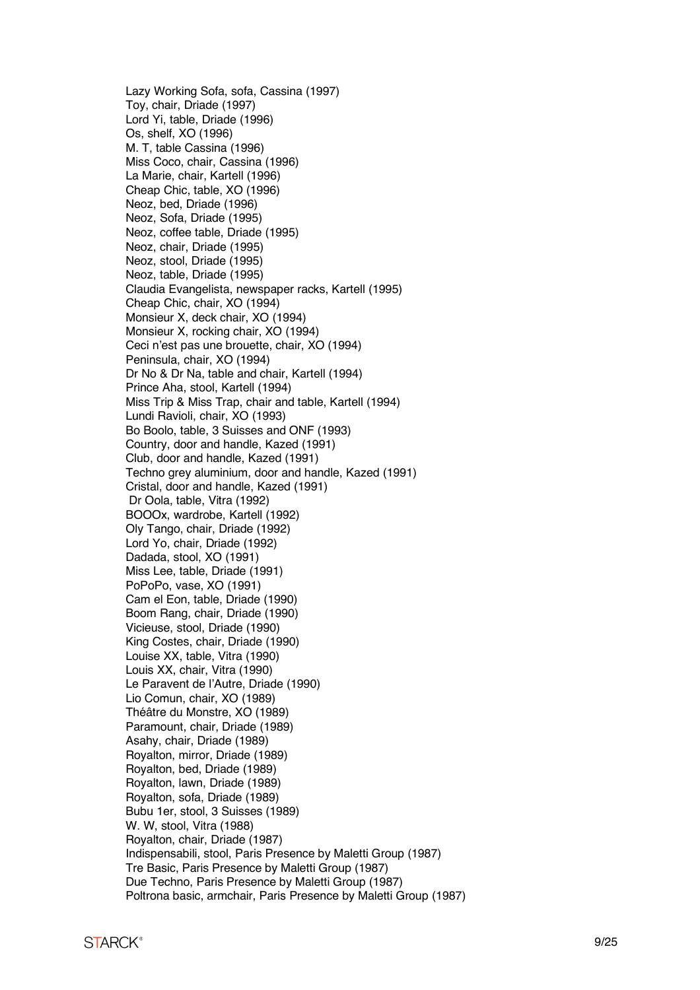Lazy Working Sofa, sofa, Cassina (1997) Toy, chair, Driade (1997) Lord Yi, table, Driade (1996) Os, shelf, XO (1996) M. T, table Cassina (1996) Miss Coco, chair, Cassina (1996) La Marie, chair, Kartell (1996) Cheap Chic, table, XO (1996) Neoz, bed, Driade (1996) Neoz, Sofa, Driade (1995) Neoz, coffee table, Driade (1995) Neoz, chair, Driade (1995) Neoz, stool, Driade (1995) Neoz, table, Driade (1995) Claudia Evangelista, newspaper racks, Kartell (1995) Cheap Chic, chair, XO (1994) Monsieur X, deck chair, XO (1994) Monsieur X, rocking chair, XO (1994) Ceci n'est pas une brouette, chair, XO (1994) Peninsula, chair, XO (1994) Dr No & Dr Na, table and chair, Kartell (1994) Prince Aha, stool, Kartell (1994) Miss Trip & Miss Trap, chair and table, Kartell (1994) Lundi Ravioli, chair, XO (1993) Bo Boolo, table, 3 Suisses and ONF (1993) Country, door and handle, Kazed (1991) Club, door and handle, Kazed (1991) Techno grey aluminium, door and handle, Kazed (1991) Cristal, door and handle, Kazed (1991) Dr Oola, table, Vitra (1992) BOOOx, wardrobe, Kartell (1992) Oly Tango, chair, Driade (1992) Lord Yo, chair, Driade (1992) Dadada, stool, XO (1991) Miss Lee, table, Driade (1991) PoPoPo, vase, XO (1991) Cam el Eon, table, Driade (1990) Boom Rang, chair, Driade (1990) Vicieuse, stool, Driade (1990) King Costes, chair, Driade (1990) Louis e XX, table, Vitra (1990) Louis XX, chair, Vitra (1990) Le Paravent de l'Autre, Driade (1990) Lio Comun, chair, XO (1989) Théâtre du Monstre, X O (1989) Paramount, chair, Driade (1989) Asahy, chair, Driade (1989) Royalton, mirror, Driade (1989) Royalton, bed, Driade (1989) Royalton, lawn, Driade (1989) Royalton, sofa, Driade (1989) Bubu 1er, stool, 3 Suisses (1989) W. W, stool, Vitra (1988) Royalton, chair, Driade (1987) Indispensabili, stool, Paris Presence by Maletti Group (1987) Tre Basic, Paris Presence by Maletti Group (1987) Due Techno, Paris Presence by Maletti Group (1987) Poltrona basic, armchair, Paris Presence by Maletti Group (1987)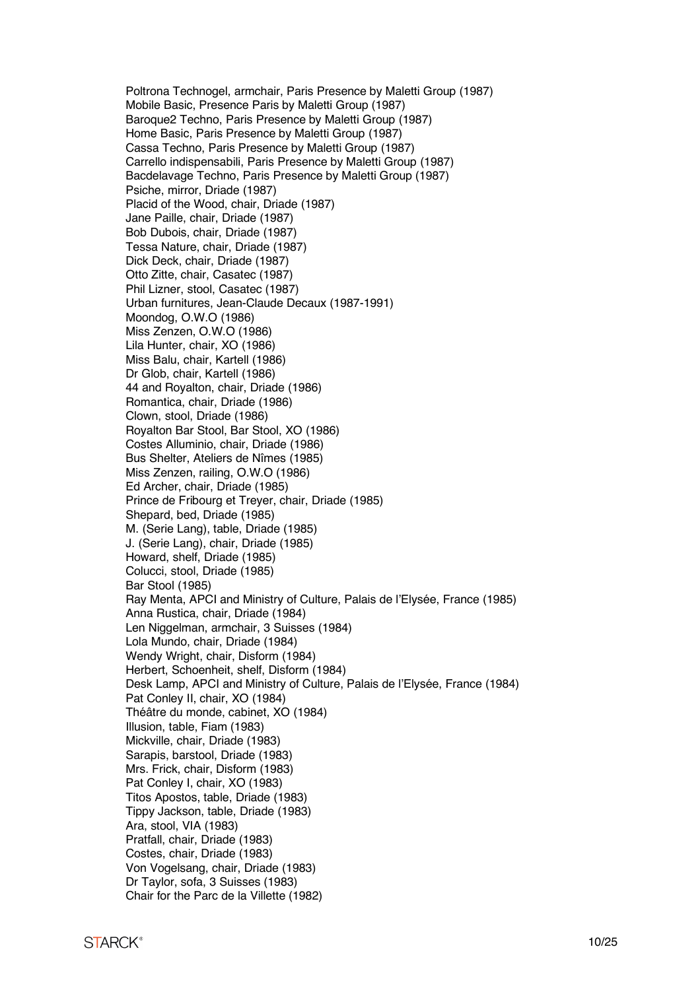Poltrona Technogel, armchair, Paris Presence by Maletti Group (1987) Mobile Basic, Presence Paris by Maletti Group (1987) Baroque2 Techno, Paris Presence by Maletti Group (1987) Home Basic, Paris Presence by Maletti Group (1987) Cassa Techno, Paris Presence by Maletti Group (1987) Carrello indispensabili, Paris Presence by Maletti Group (1987) Bacdelavage Techno, Paris Presence by Maletti Group (1987) Psiche, mirror, Driade (1987) Placid of the Wood, chair, Driade (1987) Jane Paille, chair, Driade (1987) Bob Dubois, chair, Driade (1987) Tessa Nature, chair, Driade (1987) Dick Deck, chair, Driade (1987) Otto Zitte, chair, Casatec (1987) Phil Lizner, stool, Casatec (1987) Urban furnitures, Jean-Claude Decaux (1987-1991) Moondog, O.W.O (1986) Miss Zenzen, O.W.O (1986) Lila Hunter, chair, XO (1986) Miss Balu, chair, Kartell (1986) Dr Glob, chair, Kartell (1986) 44 and Royalton, chair, Driade (1986) Romantica, chair, Driade (1986) Clown, stool, Driade (1986) Royalton Bar Stool, Bar Stool, XO (1986) Costes Alluminio, chair, Driade (1986) Bus Shelter, Ateliers de Nîmes (1985) Miss Zenzen, railing, O.W.O (1986) Ed Archer, chair, Driade (1985) Prince de Fribourg et Treyer, chair, Driade (1985) Shepard, bed, Driade (1985) M. (Serie Lang), table, Driade (1985) J. (Serie Lang), chair, Driade (1985) Howard, shelf, Driade (1985) Colucci, stool, Driade (1985) Bar Stool (1985) Ray Menta, APCI and Ministry of Culture, Palais de l'Elysée, France (1985) Anna Rustica, chair, Driade (1984) Len Niggelman, armchair, 3 Suisses (1984) Lola Mundo, chair, Driade (1984) Wendy Wright, chair, Disform (1984) Herbert, Schoenheit, shelf, Disform (1984) Desk Lamp, APCI and Ministry of Culture, Palais de l'Elysée, France (1984) Pat Conley II, chair, XO (1984) Théâtre du monde, cabinet, XO (1984) Illusion, table, Fiam (1983) Mickville, chair, Driade (1983) Sarapis, barstool, Driade (1983) Mrs. Frick, chair, Disform (1983) Pat Conley I, chair, XO (1983) Titos Apostos, table, Driade (1983) Tippy Jackson, table, Driade (1983) Ara, stool, VIA (1983) Pratfall, chair, Driade (1983) Costes, chair, Driade (1983) Von Vogelsang, chair, Driade (1983) Dr Taylor, sofa, 3 Suisses (1983) Chair for the Parc de la Villette (1982)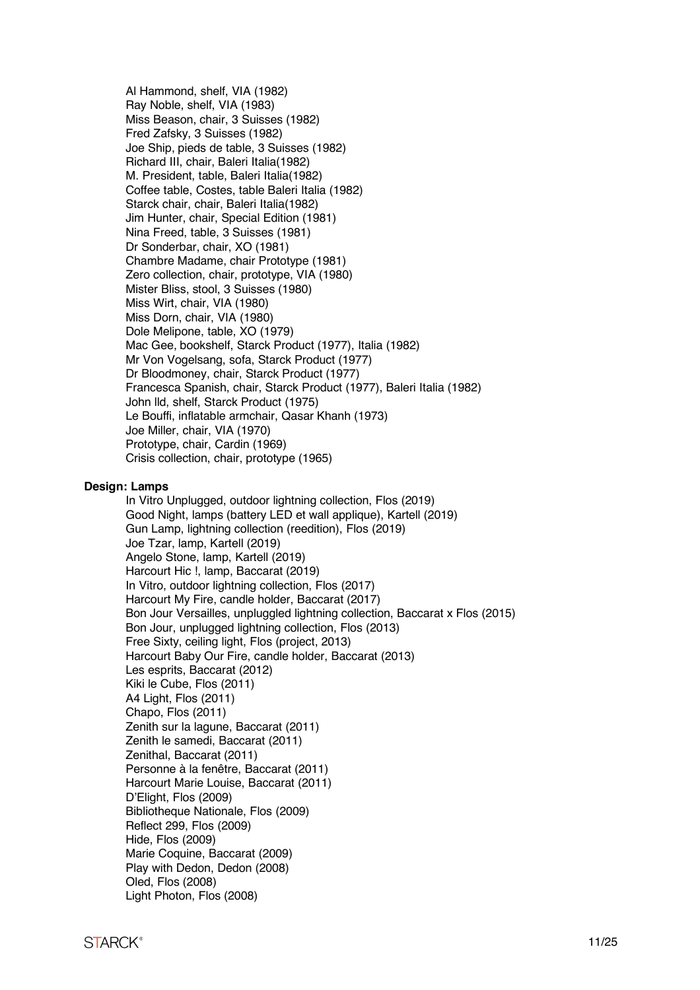Al Hammond, shelf, VIA (1982) Ray Noble, shelf, VIA (1983) Miss Beason, chair, 3 Suisses (1982) Fred Zafsky, 3 Suisses (1982) Joe Ship, pieds de table, 3 Suisses (1982) Richard III, chair, Baleri Italia(1982) M. President, table, Baleri Italia(1982) Coffee table, Costes, table Baleri Italia (1982) Starck chair, chair, Baleri Italia(1982) Jim Hunter, chair, Special Edition (1981) Nina Freed, table, 3 Suisses (1981) Dr Sonderbar, chair, XO (1981) Chambre Madame, chair Prototype (1981) Zero collection, chair, prototype, VIA (1980) Mister Bliss, stool, 3 Suisses (1980) Miss Wirt, chair, VIA (1980) Miss Dorn, chair, VIA (1980) Dole Melipone, table, XO (1979) Mac Gee, bookshelf, Starck Product (1977), Italia (1982) Mr Von Vogelsang, sofa, Starck Product (1977) Dr Bloodmoney, chair, Starck Product (1977) Francesca Spanish, chair, Starck Product (1977), Baleri Italia (1982) John lld, shelf, Starck Product (1975) Le Bouffi, inflatable armchair, Qasar Khanh (1973) Joe Miller, chair, VIA (1970) Prototype, chair, Cardin (1969) Crisis collection, chair, prototype (1965)

## **Design: Lamps**

In Vitro Unplugged, outdoor lightning collection, Flos (2019) Good Night, lamps (battery LED et wall applique), Kartell (2019) Gun Lamp, lightning collection (reedition), Flos (2019) Joe Tzar, lamp, Kartell (2019) Angelo Stone, lamp, Kartell (2019) Harcourt Hic !, lamp, Baccarat (2019) In Vitro, outdoor lightning collection, Flos (2017) Harcourt My Fire, candle holder, Baccarat (2017) Bon Jour Versailles, unpluggled lightning collection, Baccarat x Flos (2015) Bon Jour, unplugged lightning collection, Flos (2013) Free Sixty, ceiling light, Flos (project, 2013) Harcourt Baby Our Fire, candle holder, Baccarat (2013) Les esprits, Baccarat (2012) Kiki le Cube, Flos (2011) A4 Light, Flos (2011) Chapo, Flos (2011) Zenith sur la lagune, Baccarat (2011) Zenith le samedi, Baccarat (2011) Zenithal, Baccarat (2011) Personne à la fenêtre, Baccarat (2011) Harcourt Marie Louise, Baccarat (2011) D'Elight, Flos (2009) Bibliotheque Nationale, Flos (2009) Reflect 299, Flos (2009) Hide, Flos (2009) Marie Coquine, Baccarat (2009) Play with Dedon, Dedon (2008) Oled, Flos (2008) Light Photon, Flos (2008)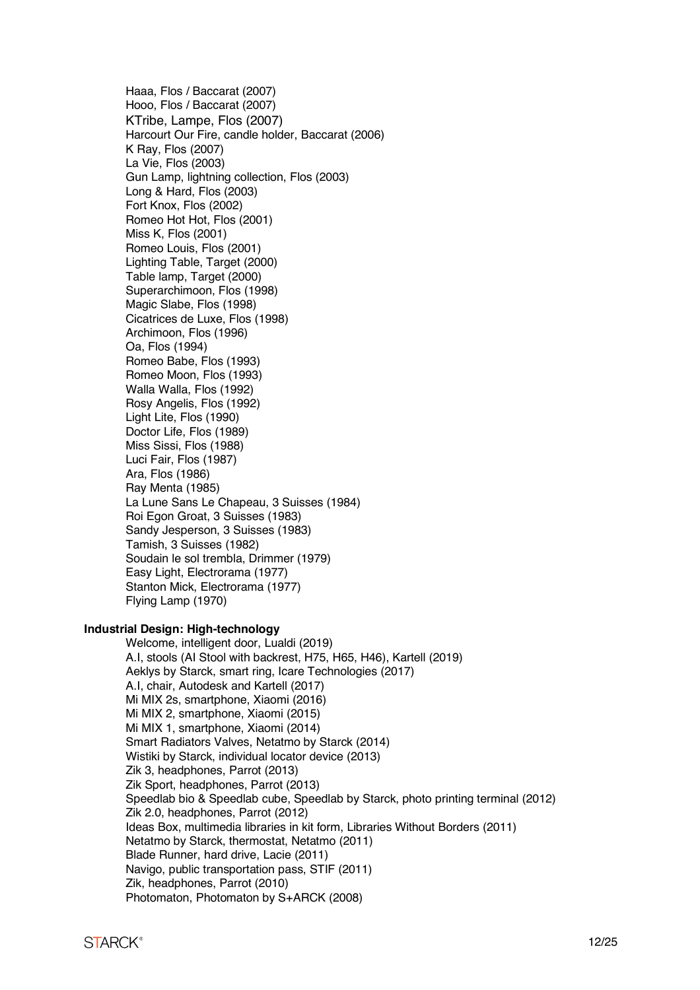Haaa, Flos / Baccarat (2007) Hooo, Flos / Baccarat (2007) KTribe, Lampe, Flos (2007) Harcourt Our Fire, candle holder, Baccarat (2006) K Ray, Flos (2007) La Vie, Flos (2003) Gun Lamp, lightning collection, Flos (2003) Long & Hard, Flos (2003) Fort Knox, Flos (2002) Romeo Hot Hot, Flos (2001) Miss K, Flos (2001) Romeo Louis, Flos (2001) Lighting Table, Target (2000) Table lamp, Target (2000) Superarchimoon, Flos (1998) Magic Slabe, Flos (1998) Cicatrices de Luxe, Flos (1998) Archimoon, Flos (1996) Oa, Flos (1994) Romeo Babe, Flos (1993) Romeo Moon, Flos (1993) Walla Walla, Flos (1992) Rosy Angelis, Flos (1992) Light Lite, Flos (1990) Doctor Life, Flos (1989) Miss Sissi, Flos (1988) Luci Fair, Flos (1987) Ara, Flos (1986) Ray Menta (1985) La Lune Sans Le Chapeau, 3 Suisses (1984) Roi Egon Groat, 3 Suisses (1983) Sandy Jesperson, 3 Suisses (1983) Tamish, 3 Suisses (1982) Soudain le sol trembla, Drimmer (1979) Easy Light, Electrorama (1977) Stanton Mick, Electrorama (1977) Flying Lamp (1970)

# **Industrial Design: High-technology**

Welcome, intelligent door, Lualdi (2019) A.I, stools (AI Stool with backrest, H75, H65, H46), Kartell (2019) Aeklys by Starck, smart ring, Icare Technologies (2017) A.I, chair, Autodesk and Kartell (2017) Mi MIX 2s, smartphone, Xiaomi (2016) Mi MIX 2, smartphone, Xiaomi (2015) Mi MIX 1, smartphone, Xiaomi (2014) Smart Radiators Valves, Netatmo by Starck (2014) Wistiki by Starck, individual locator device (2013) Zik 3, headphones, Parrot (2013) Zik Sport, headphones, Parrot (2013) Speedlab bio & Speedlab cube, Speedlab by Starck, photo printing terminal (2012) Zik 2.0, headphones, Parrot (2012) Ideas Box, multimedia libraries in kit form, Libraries Without Borders (2011) Netatmo by Starck, thermostat, Netatmo (2011) Blade Runner, hard drive, Lacie (2011) Navigo, public transportation pass, STIF (2011) Zik, headphones, Parrot (2010) Photomaton, Photomaton by S+ARCK (2008)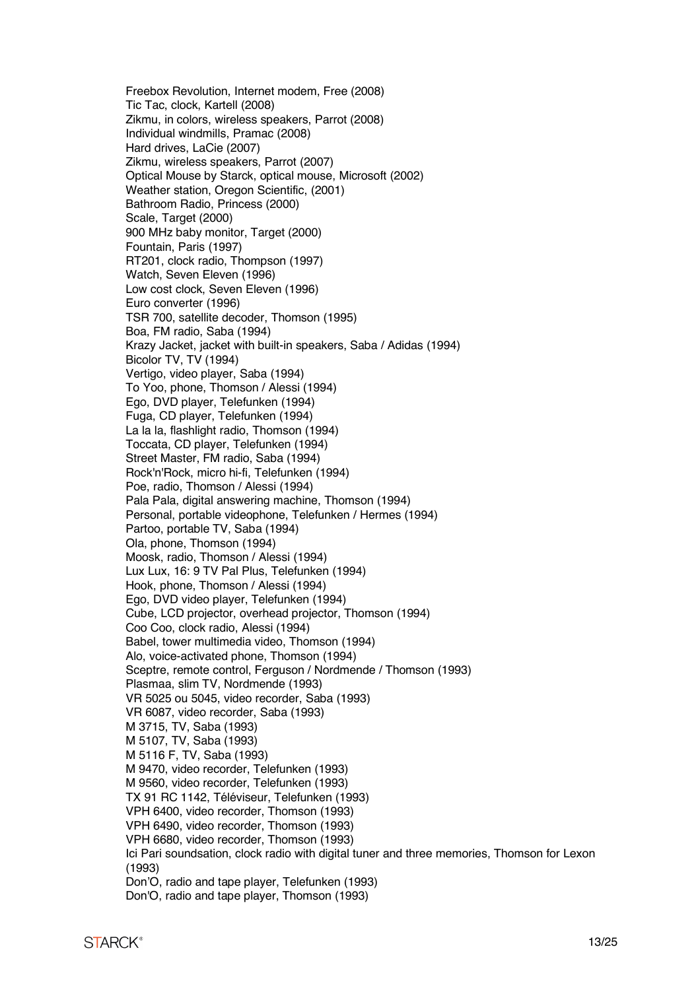Freebox Revolution, Internet modem, Free (2008) Tic Tac, clock, Kartell (2008) Zikmu, in colors, wireless speakers, Parrot (2008) Individual windmills, Pramac (2008) Hard drives, LaCie (2007) Zikmu, wireless speakers, Parrot (2007) Optical Mouse by Starck, optical mouse, Microsoft (2002) Weather station, Oregon Scientific, (2001) Bathroom Radio, Princess (2000) Scale, Target (2000) 900 MHz baby monitor, Target (2000) Fountain, Paris (1997) RT201, clock radio, Thompson (1997) Watch, Seven Eleven (1996) Low cost clock, Seven Eleven (1996) Euro converter (1996) TSR 700, satellite decoder, Thomson (1995) Boa, FM radio, Saba (1994) Krazy Jacket, jacket with built-in speakers, Saba / Adidas (1994) Bicolor TV, TV (1994) Vertigo, video player, Saba (1994) To Yoo, phone, Thomson / Alessi (1994) Ego, DVD player, Telefunken (1994) Fuga, CD player, Telefunken (1994) La la la, flashlight radio, Thomson (1994) Toccata, CD player, Telefunken (1994) Street Master, FM radio, Saba (1994) Rock'n'Rock, micro hi-fi, Telefunken (1994) Poe, radio, Thomson / Alessi (1994) Pala Pala, digital answering machine, Thomson (1994) Personal, portable videophone, Telefunken / Hermes (1994) Partoo, portable TV, Saba (1994) Ola, phone, Thomson (1994) Moosk, radio, Thomson / Alessi (1994) Lux Lux, 16: 9 TV Pal Plus, Telefunken (1994) Hook, phone, Thomson / Alessi (1994) Ego, DVD video player, Telefunken (1994) Cube, LCD projector, overhead projector, Thomson (1994) Coo Coo, clock radio, Alessi (1994) Babel, tower multimedia video, Thomson (1994) Alo, voice-activated phone, Thomson (1994) Sceptre, remote control, Ferguson / Nordmende / Thomson (1993) Plasmaa, slim TV, Nordmende (1993) VR 5025 ou 5045, video recorder, Saba (1993) VR 6087, video recorder, Saba (1993) M 3715, TV, Saba (1993) M 5107, TV, Saba (1993) M 5116 F, TV, Saba (1993) M 9470, video recorder, Telefunken (1993) M 9560, video recorder, Telefunken (1993) TX 91 RC 1142, Téléviseur, Telefunken (1993) VPH 6400, video recorder, Thomson (1993) VPH 6490, video recorder, Thomson (1993) VPH 6680, video recorder, Thomson (1993) Ici Pari soundsation, clock radio with digital tuner and three memories, Thomson for Lexon (1993) Don'O, radio and tape player, Telefunken (1993) Don'O, radio and tape player, Thomson (1993)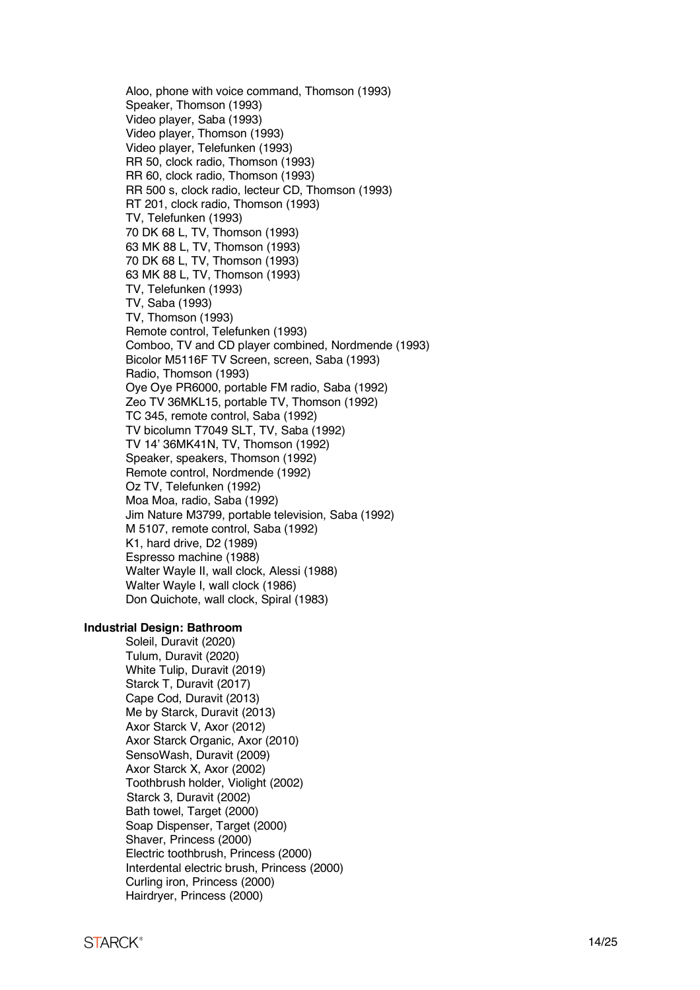Aloo, phone with voice command, Thomson (1993) Speaker, Thomson (1993) Video player, Saba (1993) Video player, Thomson (1993) Video player, Telefunken (1993) RR 50, clock radio, Thomson (1993) RR 60, clock radio, Thomson (1993) RR 500 s, clock radio, lecteur CD, Thomson (1993) RT 201, clock radio, Thomson (1993) TV, Telefunken (1993) 70 DK 68 L, TV, Thomson (1993) 63 MK 88 L, TV, Thomson (1993) 70 DK 68 L, TV, Thomson (1993) 63 MK 88 L, TV, Thomson (1993) TV, Telefunken (1993) TV, Saba (1993) TV, Thomson (1993) Remote control, Telefunken (1993) Comboo, TV and CD player combined, Nordmende (1993) Bicolor M5116F TV Screen, screen, Saba (1993) Radio, Thomson (1993) Oye Oye PR6000, portable FM radio, Saba (1992) Zeo TV 36MKL15, portable TV, Thomson (1992) TC 345, remote control, Saba (1992) TV bicolumn T7049 SLT, TV, Saba (1992) TV 14' 36MK41N, TV, Thomson (1992) Speaker, speakers, Thomson (1992) Remote control, Nordmende (1992) Oz TV, Telefunken (1992) Moa Moa, radio, Saba (1992) Jim Nature M3799, portable television, Saba (1992) M 5107, remote control, Saba (1992) K1, hard drive, D2 (1989) Espresso machine (1988) Walter Wayl e II, wall clock, Alessi (1988 ) Walter Wayle I, wall clock (1986 ) Don Quichote, wall clock, Spiral (1983)

## **Industrial Design: Bathroom**

Soleil, Duravit (2020) Tulum, Duravit (202 0 ) White Tulip, Duravit (2019) Starck T, Duravit (2017) Cape Cod, Duravit (2013) Me by Starck, Duravit (2013) Axor Starck V, Axor (2012) Axor Starck Organic, Axor (2010) SensoWash, Duravit (2009) Axor Starck X, Axor (2002) Toothbrush holder, Violight (2002) Starck 3, Duravit (2002) Bath towel, Target (2000) Soap Dispenser, Target (2000) Shaver, Princess (2000) Electric toothbrush, Princess (2000) Interdental electric brush, Princess (2000) Curling iron, Princess (2000) Hairdryer, Princess (2000)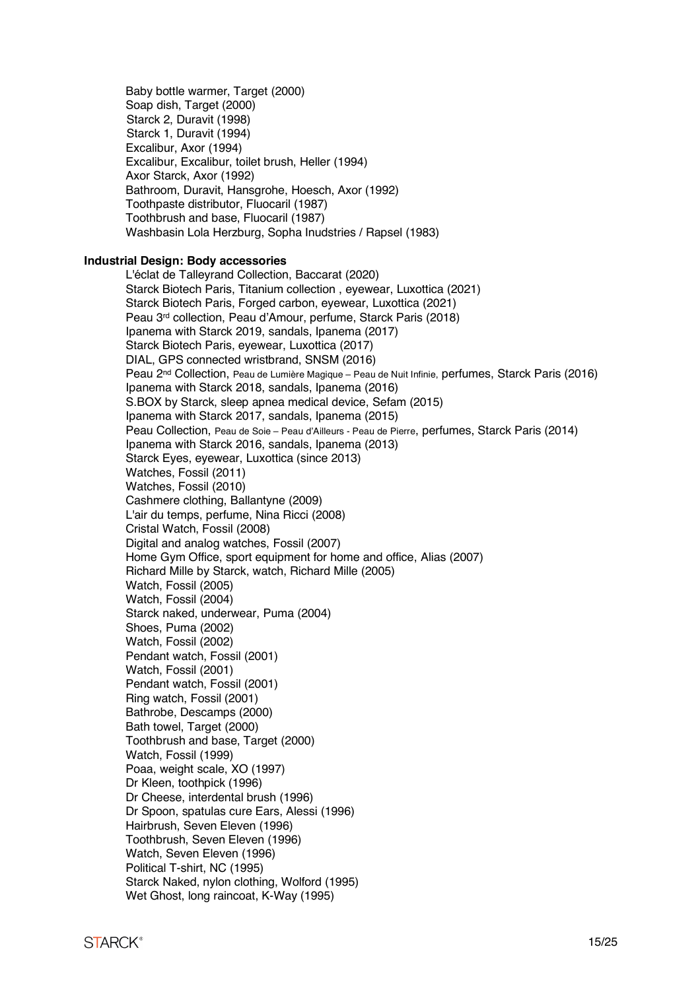Baby bottle warmer, Target (2000) Soap dish, Target (2000) Starck 2, Duravit (1998) Starck 1, Duravit (1994) Excalibur, Axor (1994) Excalibur, Excalibur, toilet brush, Heller (1994) Axor Starck, Axor (1992) Bathroom, Duravit, Hansgrohe, Hoesch, Axor (1992) Toothpaste distributor, Fluocaril (1987) Toothbrush and base, Fluocaril (1987) Washbasin Lola Herzburg, Sopha Inudstries / Rapsel (1983)

## **Industrial Design: Body accessories**

L'éclat de Talleyrand Collection, Baccarat (2020) Starck Biotech Paris, Titanium collection , eyewear, Luxottica (2021) Starck Biotech Paris, Forged carbon, eyewear, Luxottica (2021) Peau 3rd collection, Peau d'Amour, perfume, Starck Paris (2018) Ipanema with Starck 2019, sandals, Ipanema (2017) Starck Biotech Paris, eyewear, Luxottica (2017) DIAL, GPS connected wristbrand, SNSM (2016) Peau 2nd Collection, Peau de Lumière Magique – Peau de Nuit Infinie, perfumes, Starck Paris (2016) Ipanema with Starck 2018, sandals, Ipanema (2016) S.BOX by Starck, sleep apnea medical device, Sefam (2015) Ipanema with Starck 2017, sandals, Ipanema (2015) Peau Collection, Peau de Soie – Peau d'Ailleurs - Peau de Pierre, perfumes, Starck Paris (2014) Ipanema with Starck 2016, sandals, Ipanema (2013) Starck Eyes, eyewear, Luxottica (since 2013) Watches, Fossil (2011) Watches, Fossil (2010) Cashmere clothing, Ballantyne (2009) L'air du temps, perfume, Nina Ricci (2008) Cristal Watch, Fossil (2008) Digital and analog watches, Fossil (2007) Home Gym Office, sport equipment for home and office, Alias (2007) Richard Mille by Starck, watch, Richard Mille (2005) Watch, Fossil (2005) Watch, Fossil (2004) Starck naked, underwear, Puma (2004) Shoes, Puma (2002) Watch, Fossil (2002) Pendant watch, Fossil (2001) Watch, Fossil (2001) Pendant watch, Fossil (2001) Ring watch, Fossil (2001) Bathrobe, Descamps (2000) Bath towel, Target (2000) Toothbrush and base, Target (2000) Watch, Fossil (1999) Poaa, weight scale, XO (1997) Dr Kleen, toothpick (1996) Dr Cheese, interdental brush (1996) Dr Spoon, spatulas cure Ears, Alessi (1996) Hairbrush, Seven Eleven (1996) Toothbrush, Seven Eleven (1996) Watch, Seven Eleven (1996) Political T-shirt, NC (1995) Starck Naked, nylon clothing, Wolford (1995) Wet Ghost, long raincoat, K-Way (1995)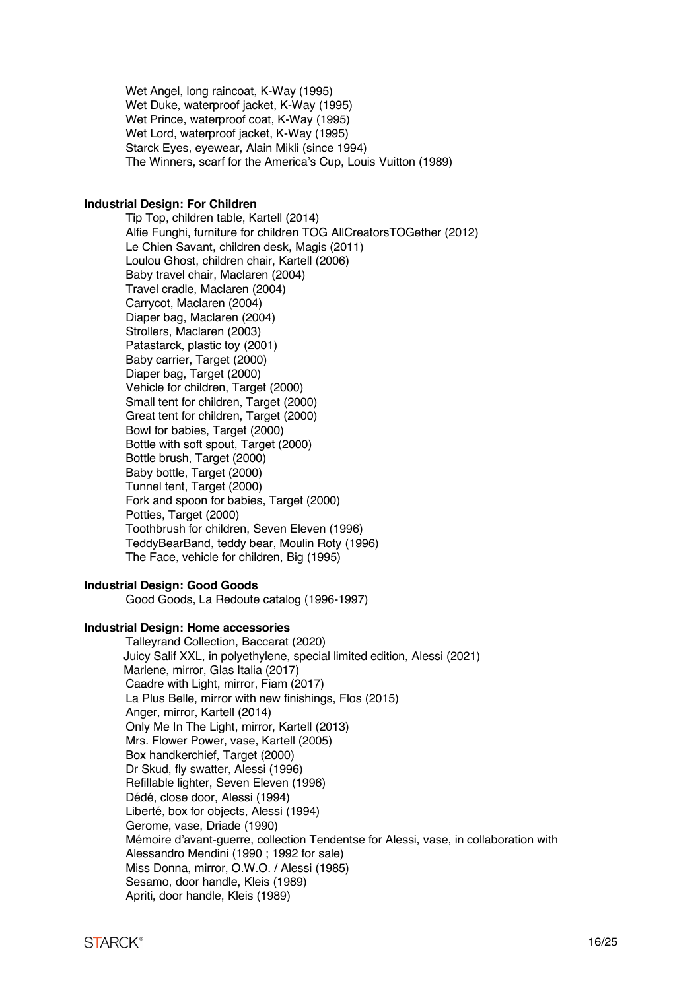Wet Angel, long raincoat, K-Way (1995) Wet Duke, waterproof jacket, K-Way (1995) Wet Prince, waterproof coat, K-Way (1995) Wet Lord, waterproof jacket, K-Way (1995) Starck Eyes, eyewear, Alain Mikli (since 1994) The Winners, scarf for the America's Cup, Louis Vuitton (1989)

## **Industrial Design: For Children**

Tip Top, children table, Kartell (2014) Alfie Funghi, furniture for children TOG AllCreatorsTOGether (2012) Le Chien Savant, children desk, Magis (2011) Loulou Ghost, children chair, Kartell (2006) Baby travel chair, Maclaren (2004) Travel cradle, Maclaren (2004) Carrycot, Maclaren (2004) Diaper bag, Maclaren (2004) Strollers, Maclaren (2003) Patastarck, plastic toy (2001) Baby carrier, Target (2000) Diaper bag, Target (2000) Vehicle for children, Target (2000) Small tent for children, Target (2000) Great tent for children, Target (2000) Bowl for babies, Target (2000) Bottle with soft spout, Target (2000) Bottle brush, Target (2000) Baby bottle, Target (2000) Tunnel tent, Target (2000) Fork and spoon for babies, Target (2000) Potties, Target (2000) Toothbrush for children, Seven Eleven (1996) TeddyBearBand, teddy bear, Moulin Roty (1996) The Face, vehicle for children, Big (1995)

# **Industrial Design: Good Goods**

Good Goods, La Redoute catalog (1996-1997)

#### **Industrial Design: Home accessories**

Talleyrand Collection, Baccarat (2020) Juicy Salif XXL, in polyethylene, special limited edition, Alessi (2021) Marlene, mirror, Glas Italia (2017) Caadre with Light, mirror, Fiam (2017) La Plus Belle, mirror with new finishings, Flos (2015) Anger, mirror, Kartell (2014) Only Me In The Light, mirror, Kartell (2013) Mrs. Flower Power, vase, Kartell (2005) Box handkerchief, Target (2000) Dr Skud, fly swatter, Alessi (1996) Refillable lighter, Seven Eleven (1996) Dédé, close door, Alessi (1994) Liberté, box for objects, Alessi (1994) Gerome, vase, Driade (1990) Mémoire d'avant-guerre, collection Tendentse for Alessi, vase, in collaboration with Alessandro Mendini (1990 ; 1992 for sale) Miss Donna, mirror, O.W.O. / Alessi (1985) Sesamo, door handle, Kleis (1989) Apriti, door handle, Kleis (1989)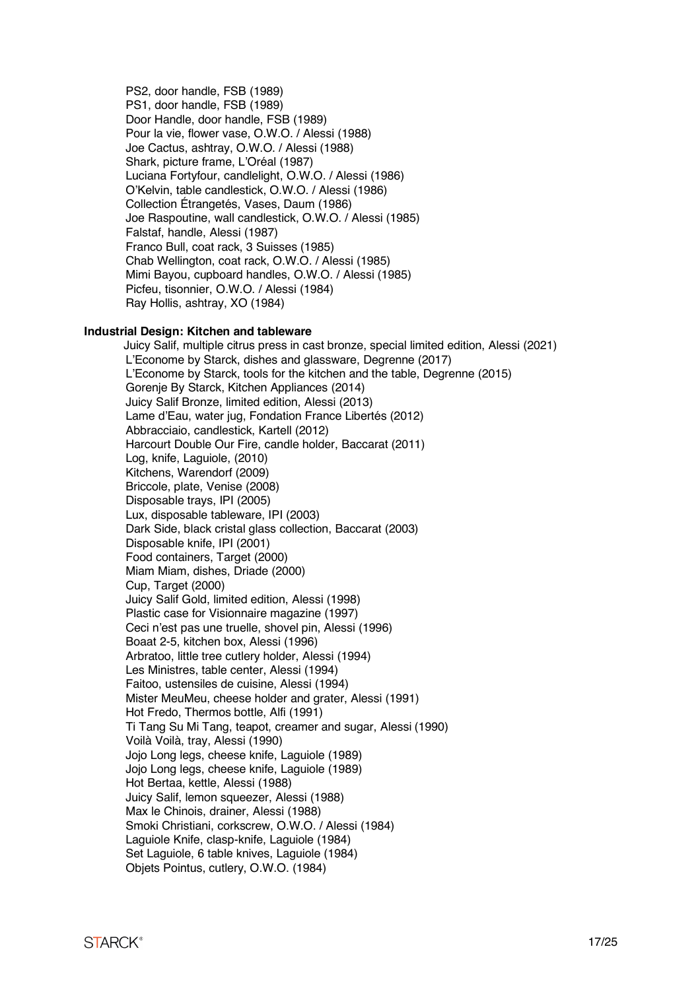PS2, door handle, FSB (1989) PS1, door handle, FSB (1989) Door Handle, door handle, FSB (1989) Pour la vie, flower vase, O.W.O. / Alessi (1988) Joe Cactus, ashtray, O.W.O. / Alessi (1988) Shark, picture frame, L'Oréal (1987) Luciana Fortyfour, candlelight, O.W.O. / Alessi (1986) O'Kelvin, table candlestick, O.W.O. / Alessi (1986) Collection Étrangetés, Vases, Daum (1986) Joe Raspoutine, wall candlestick, O.W.O. / Alessi (1985) Falstaf, handle, Alessi (1987) Franco Bull, coat rack, 3 Suisses (1985) Chab Wellington, coat rack, O.W.O. / Alessi (1985) Mimi Bayou, cupboard handles, O.W.O. / Alessi (1985) Picfeu, tisonnier, O.W.O. / Alessi (1984) Ray Hollis, ashtray, XO (1984)

#### **Industrial Design: Kitchen and tableware**

 Juicy Salif, multiple citrus press in cast bronze, special limited edition, Alessi (2021) L'Econome by Starck, dishes and glassware, Degrenne (2017) L'Econome by Starck, tools for the kitchen and the table, Degrenne (2015) Gorenje By Starck, Kitchen Appliances (2014) Juicy Salif Bronze, limited edition, Alessi (2013) Lame d'Eau, water jug, Fondation France Libertés (2012) Abbracciaio, candlestick, Kartell (2012) Harcourt Double Our Fire, candle holder, Baccarat (2011) Log, knife, Laguiole, (2010) Kitchens, Warendorf (2009) Briccole, plate, Venise (2008) Disposable trays, IPI (2005) Lux, disposable tableware, IPI (2003) Dark Side, black cristal glass collection, Baccarat (2003) Disposable knife, IPI (2001) Food containers, Target (2000) Miam Miam, dishes, Driade (2000) Cup, Target (2000) Juicy Salif Gold, limited edition, Alessi (1998) Plastic case for Visionnaire magazine (1997) Ceci n'est pas une truelle, shovel pin, Alessi (1996) Boaat 2-5, kitchen box, Alessi (1996) Arbratoo, little tree cutlery holder, Alessi (1994) Les Ministres, table center, Alessi (1994) Faitoo, ustensiles de cuisine, Alessi (1994) Mister MeuMeu, cheese holder and grater, Alessi (1991) Hot Fredo, Thermos bottle, Alfi (1991) Ti Tang Su Mi Tang, teapot, creamer and sugar, Alessi (1990) Voilà Voilà, tray, Alessi (1990) Jojo Long legs, cheese knife, Laguiole (1989) Jojo Long legs, cheese knife, Laguiole (1989) Hot Bertaa, kettle, Alessi (1988) Juicy Salif, lemon squeezer, Alessi (1988) Max le Chinois, drainer, Alessi (1988) Smoki Christiani, corkscrew, O.W.O. / Alessi (1984) Laguiole Knife, clasp-knife, Laguiole (1984) Set Laguiole, 6 table knives, Laguiole (1984) Objets Pointus, cutlery, O.W.O. (1984)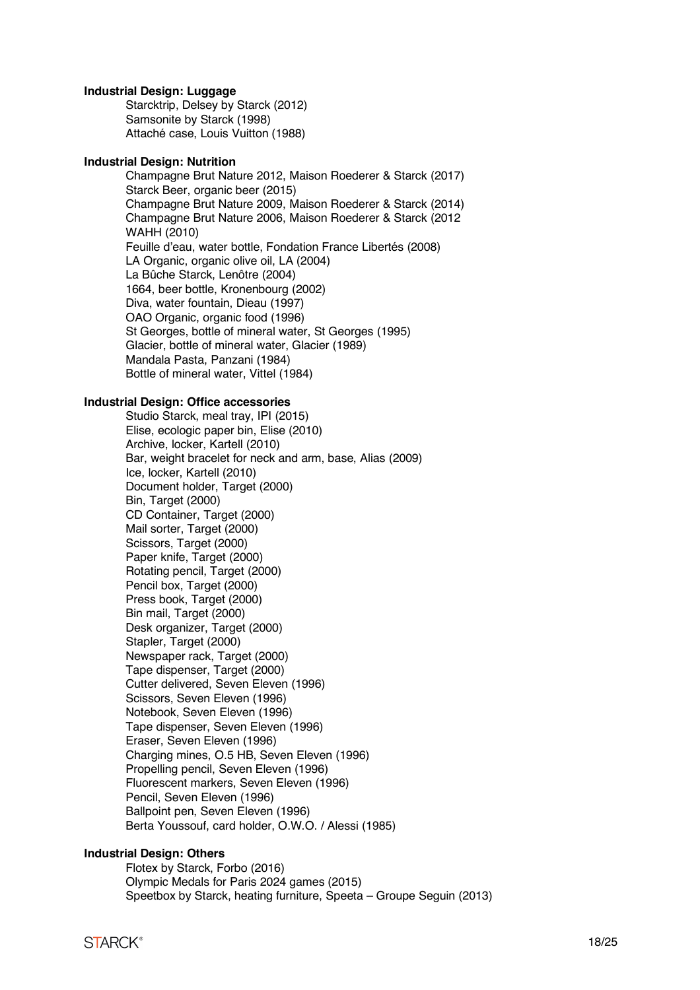#### **Industrial Design: Luggage**

Starcktrip, Delsey by Starck (2012) Samsonite by Starck (1998) Attaché case, Louis Vuitton (1988)

#### **Industrial Design: Nutrition**

Champagne Brut Nature 2012, Maison Roederer & Starck (2017) Starck Beer, organic beer (2015) Champagne Brut Nature 2009, Maison Roederer & Starck (2014) Champagne Brut Nature 2006, Maison Roederer & Starck (2012 WAHH (2010) Feuille d'eau, water bottle, Fondation France Libertés (2008) LA Organic, organic olive oil, LA (2004) La Bûche Starck, Lenôtre (2004) 1664, beer bottle, Kronenbourg (2002) Diva, water fountain, Dieau (1997) OAO Organic, organic food (1996) St Georges, bottle of mineral water, St Georges (1995) Glacier, bottle of mineral water, Glacier (1989) Mandala Pasta, Panzani (1984) Bottle of mineral water, Vittel (1984)

#### **Industrial Design: Office accessories**

Studio Starck, meal tray, IPI (2015) Elise, ecologic paper bin, Elise (2010) Archive, locker, Kartell (2010) Bar, weight bracelet for neck and arm, base, Alias (2009) Ice, locker, Kartell (2010) Document holder, Target (2000) Bin, Target (2000) CD Container, Target (2000) Mail sorter, Target (2000) Scissors, Target (2000) Paper knife, Target (2000) Rotating pencil, Target (2000) Pencil box, Target (2000) Press book, Target (2000) Bin mail, Target (2000) Desk organizer, Target (2000) Stapler, Target (2000) Newspaper rack, Target (2000) Tape dispenser, Target (2000) Cutter delivered, Seven Eleven (1996) Scissors, Seven Eleven (1996) Notebook, Seven Eleven (1996) Tape dispenser, Seven Eleven (1996) Eraser, Seven Eleven (1996) Charging mines, O.5 HB, Seven Eleven (1996) Propelling pencil, Seven Eleven (1996) Fluorescent markers, Seven Eleven (1996) Pencil, Seven Eleven (1996) Ballpoint pen, Seven Eleven (1996) Berta Youssouf, card holder, O.W.O. / Alessi (1985)

#### **Industrial Design: Others**

Flotex by Starck, Forbo (2016) Olympic Medals for Paris 2024 games (2015) Speetbox by Starck, heating furniture, Speeta – Groupe Seguin (2013)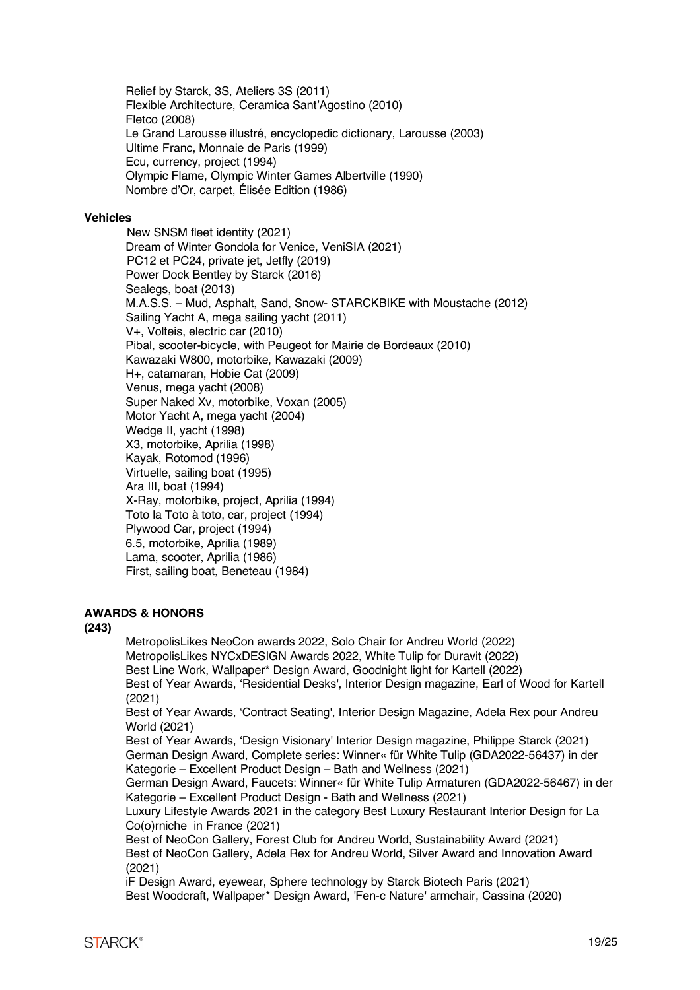Relief by Starck, 3S, Ateliers 3S (2011) Flexible Architecture, Ceramica Sant'Agostino (2010) Fletco (2008) Le Grand Larousse illustré, encyclopedic dictionary, Larousse (2003) Ultime Franc, Monnaie de Paris (1999) Ecu, currency, project (1994) Olympic Flame, Olympic Winter Games Albertville (1990) Nombre d'Or, carpet, Élisée Edition (1986)

## **Vehicles**

 New SNSM fleet identity (2021) Dream of Winter Gondola for Venice, VeniSIA (2021) PC12 et PC24, private jet, Jetfly (2019) Power Dock Bentley by Starck (2016) Sealegs, boat (2013) M.A.S.S. – Mud, Asphalt, Sand, Snow- STARCKBIKE with Moustache (2012) Sailing Yacht A, mega sailing yacht (2011) V+, Volteis, electric car (2010) Pibal, scooter-bicycle, with Peugeot for Mairie de Bordeaux (2010) Kawazaki W800, motorbike, Kawazaki (2009) H+, catamaran, Hobie Cat (2009) Venus, mega yacht (2008) Super Naked Xv, motorbike, Voxan (2005) Motor Yacht A, mega yacht (2004) Wedge II, yacht (1998) X3, motorbike, Aprilia (1998) Kayak, Rotomod (1996) Virtuelle, sailing boat (1995) Ara III, boat (1994) X-Ray, motorbike, project, Aprilia (1994) Toto la Toto à toto, car, project (1994) Plywood Car, project (1994) 6.5, motorbike, Aprilia (1989) Lama, scooter, Aprilia (1986) First, sailing boat, Beneteau (1984)

# **AWARDS & HONORS**

#### **(243)**

MetropolisLikes NeoCon awards 2022, Solo Chair for Andreu World (2022) MetropolisLikes NYCxDESIGN Awards 2022, White Tulip for Duravit (2022) Best Line Work, Wallpaper\* Design Award, Goodnight light for Kartell (2022) Best of Year Awards, 'Residential Desks', Interior Design magazine, Earl of Wood for Kartell (2021) Best of Year Awards, 'Contract Seating', Interior Design Magazine, Adela Rex pour Andreu

World (2021) Best of Year Awards, 'Design Visionary' Interior Design magazine, Philippe Starck (2021) German Design Award, Complete series: Winner« für White Tulip (GDA2022-56437) in der Kategorie – Excellent Product Design – Bath and Wellness (2021)

German Design Award, Faucets: Winner« für White Tulip Armaturen (GDA2022-56467) in der Kategorie – Excellent Product Design - Bath and Wellness (2021)

Luxury Lifestyle Awards 2021 in the category Best Luxury Restaurant Interior Design for La Co(o)rniche in France (2021)

Best of NeoCon Gallery, Forest Club for Andreu World, Sustainability Award (2021) Best of NeoCon Gallery, Adela Rex for Andreu World, Silver Award and Innovation Award (2021)

iF Design Award, eyewear, Sphere technology by Starck Biotech Paris (2021) Best Woodcraft, Wallpaper\* Design Award, 'Fen-c Nature' armchair, Cassina (2020)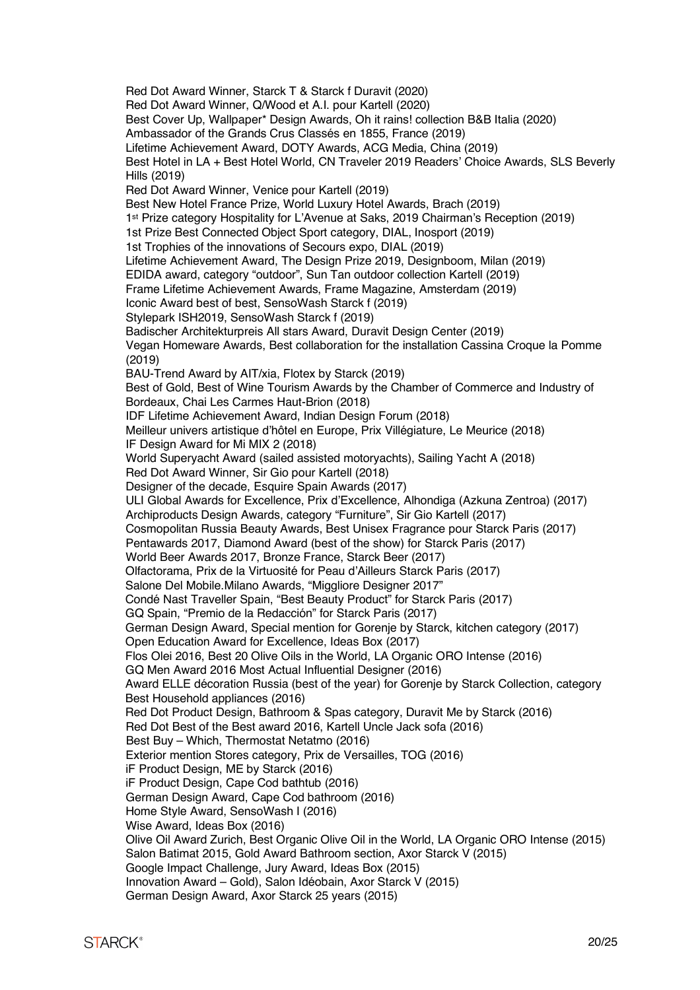Red Dot Award Winner, Starck T & Starck f Duravit (2020) Red Dot Award Winner, Q/Wood et A.I. pour Kartell (2020) Best Cover Up, Wallpaper\* Design Awards, Oh it rains! collection B&B Italia (2020) Ambassador of the Grands Crus Classés en 1855, France (2019) Lifetime Achievement Award, DOTY Awards, ACG Media, China (2019) Best Hotel in LA + Best Hotel World, CN Traveler 2019 Readers' Choice Awards, SLS Beverly Hills (2019) Red Dot Award Winner, Venice pour Kartell (2019) Best New Hotel France Prize, World Luxury Hotel Awards, Brach (2019) 1st Prize category Hospitality for L'Avenue at Saks, 2019 Chairman's Reception (2019) 1st Prize Best Connected Object Sport category, DIAL, Inosport (2019) 1st Trophies of the innovations of Secours expo, DIAL (2019) Lifetime Achievement Award, The Design Prize 2019, Designboom, Milan (2019) EDIDA award, category "outdoor", Sun Tan outdoor collection Kartell (2019) Frame Lifetime Achievement Awards, Frame Magazine, Amsterdam (2019) Iconic Award best of best, SensoWash Starck f (2019) Stylepark ISH2019, SensoWash Starck f (2019) Badischer Architekturpreis All stars Award, Duravit Design Center (2019) Vegan Homeware Awards, Best collaboration for the installation Cassina Croque la Pomme (2019) BAU-Trend Award by AIT/xia, Flotex by Starck (2019) Best of Gold, Best of Wine Tourism Awards by the Chamber of Commerce and Industry of Bordeaux, Chai Les Carmes Haut-Brion (2018) IDF Lifetime Achievement Award, Indian Design Forum (2018) Meilleur univers artistique d'hôtel en Europe, Prix Villégiature, Le Meurice (2018) IF Design Award for Mi MIX 2 (2018) World Superyacht Award (sailed assisted motoryachts), Sailing Yacht A (2018) Red Dot Award Winner, Sir Gio pour Kartell (2018) Designer of the decade, Esquire Spain Awards (2017) ULI Global Awards for Excellence, Prix d'Excellence, Alhondiga (Azkuna Zentroa) (2017) Archiproducts Design Awards, category "Furniture", Sir Gio Kartell (2017) Cosmopolitan Russia Beauty Awards, Best Unisex Fragrance pour Starck Paris (2017) Pentawards 2017, Diamond Award (best of the show) for Starck Paris (2017) World Beer Awards 2017, Bronze France, Starck Beer (2017) Olfactorama, Prix de la Virtuosité for Peau d'Ailleurs Starck Paris (2017) Salone Del Mobile.Milano Awards, "Miggliore Designer 2017" Condé Nast Traveller Spain, "Best Beauty Product" for Starck Paris (2017) GQ Spain, "Premio de la Redacción" for Starck Paris (2017) German Design Award, Special mention for Gorenje by Starck, kitchen category (2017) Open Education Award for Excellence, Ideas Box (2017) Flos Olei 2016, Best 20 Olive Oils in the World, LA Organic ORO Intense (2016) GQ Men Award 2016 Most Actual Influential Designer (2016) Award ELLE décoration Russia (best of the year) for Gorenje by Starck Collection, category Best Household appliances (2016) Red Dot Product Design, Bathroom & Spas category, Duravit Me by Starck (2016) Red Dot Best of the Best award 2016, Kartell Uncle Jack sofa (2016) Best Buy – Which, Thermostat Netatmo (2016) Exterior mention Stores category, Prix de Versailles, TOG (2016) iF Product Design, ME by Starck (2016) iF Product Design, Cape Cod bathtub (2016) German Design Award, Cape Cod bathroom (2016) Home Style Award, SensoWash I (2016) Wise Award, Ideas Box (2016) Olive Oil Award Zurich, Best Organic Olive Oil in the World, LA Organic ORO Intense (2015) Salon Batimat 2015, Gold Award Bathroom section, Axor Starck V (2015) Google Impact Challenge, Jury Award, Ideas Box (2015) Innovation Award – Gold), Salon Idéobain, Axor Starck V (2015) German Design Award, Axor Starck 25 years (2015)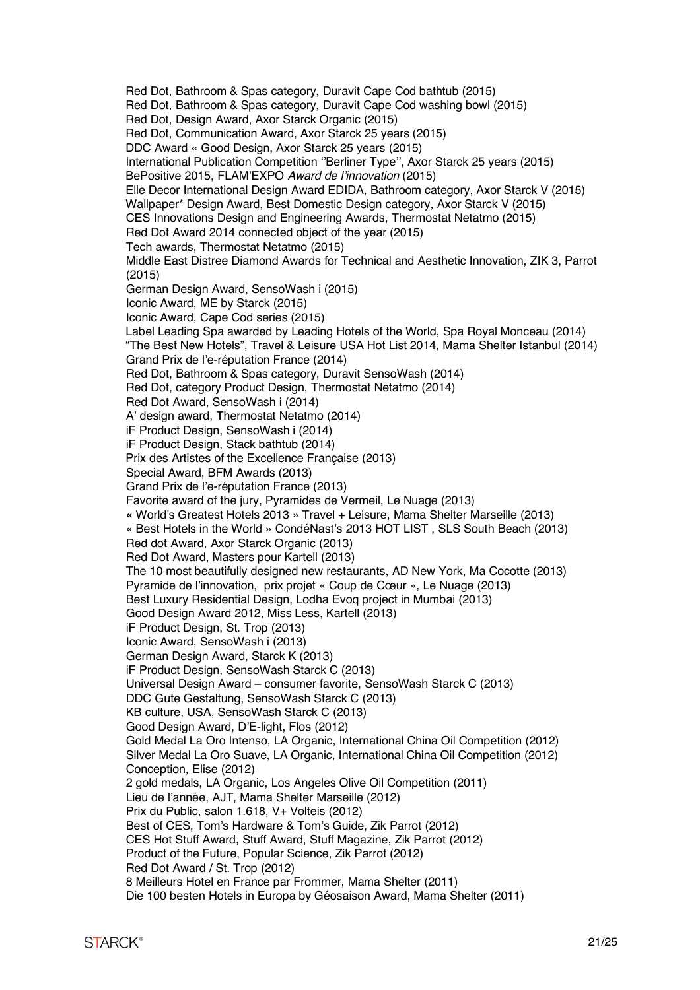Red Dot, Bathroom & Spas category, Duravit Cape Cod bathtub (2015) Red Dot, Bathroom & Spas category, Duravit Cape Cod washing bowl (2015) Red Dot, Design Award, Axor Starck Organic (2015) Red Dot, Communication Award, Axor Starck 25 years (2015) DDC Award « Good Design, Axor Starck 25 years (2015) International Publication Competition ''Berliner Type'', Axor Starck 25 years (2015) BePositive 2015, FLAM'EXPO *Award de l'innovation* (2015) Elle Decor International Design Award EDIDA, Bathroom category, Axor Starck V (2015) Wallpaper\* Design Award, Best Domestic Design category, Axor Starck V (2015) CES Innovations Design and Engineering Awards, Thermostat Netatmo (2015) Red Dot Award 2014 connected object of the year (2015) Tech awards, Thermostat Netatmo (2015) Middle East Distree Diamond Awards for Technical and Aesthetic Innovation, ZIK 3, Parrot (2015) German Design Award, SensoWash i (2015) Iconic Award, ME by Starck (2015) Iconic Award, Cape Cod series (2015) Label Leading Spa awarded by Leading Hotels of the World, Spa Royal Monceau (2014) "The Best New Hotels", Travel & Leisure USA Hot List 2014, Mama Shelter Istanbul (2014) Grand Prix de l'e-réputation France (2014) Red Dot, Bathroom & Spas category, Duravit SensoWash (2014) Red Dot, category Product Design, Thermostat Netatmo (2014) Red Dot Award, SensoWash i (2014) A' design award, Thermostat Netatmo (2014) iF Product Design, SensoWash i (2014) iF Product Design, Stack bathtub (2014) Prix des Artistes of the Excellence Française (2013) Special Award, BFM Awards (2013) Grand Prix de l'e-réputation France (2013) Favorite award of the jury, Pyramides de Vermeil, Le Nuage (2013) **«** World's Greatest Hotels 2013 » Travel + Leisure, Mama Shelter Marseille (2013) « Best Hotels in the World » CondéNast's 2013 HOT LIST , SLS South Beach (2013) Red dot Award, Axor Starck Organic (2013) Red Dot Award, Masters pour Kartell (2013) The 10 most beautifully designed new restaurants, AD New York, Ma Cocotte (2013) Pyramide de l'innovation, prix projet « Coup de Cœur », Le Nuage (2013) Best Luxury Residential Design, Lodha Evoq project in Mumbai (2013) Good Design Award 2012, Miss Less, Kartell (2013) iF Product Design, St. Trop (2013) Iconic Award, SensoWash i (2013) German Design Award, Starck K (2013) iF Product Design, SensoWash Starck C (2013) Universal Design Award – consumer favorite, SensoWash Starck C (2013) DDC Gute Gestaltung, SensoWash Starck C (2013) KB culture, USA, SensoWash Starck C (2013) Good Design Award, D'E-light, Flos (2012) Gold Medal La Oro Intenso, LA Organic, International China Oil Competition (2012) Silver Medal La Oro Suave, LA Organic, International China Oil Competition (2012) Conception, Elise (2012) 2 gold medals, LA Organic, Los Angeles Olive Oil Competition (2011) Lieu de l'année, AJT, Mama Shelter Marseille (2012) Prix du Public, salon 1.618, V+ Volteis (2012) Best of CES, Tom's Hardware & Tom's Guide, Zik Parrot (2012) CES Hot Stuff Award, Stuff Award, Stuff Magazine, Zik Parrot (2012) Product of the Future, Popular Science, Zik Parrot (2012) Red Dot Award / St. Trop (2012) 8 Meilleurs Hotel en France par Frommer, Mama Shelter (2011) Die 100 besten Hotels in Europa by Géosaison Award, Mama Shelter (2011)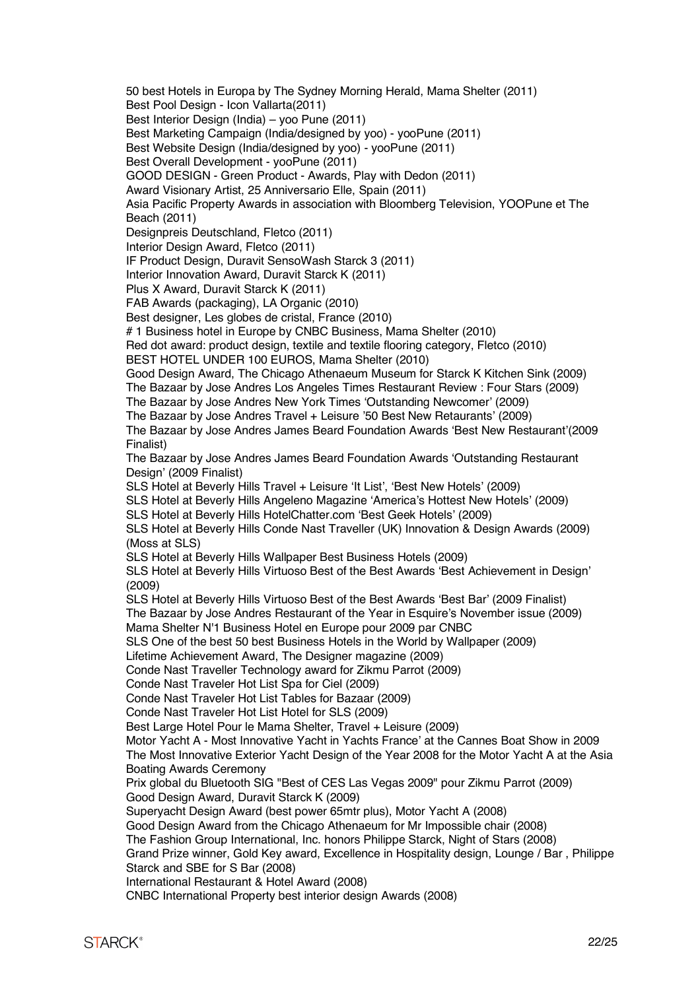50 best Hotels in Europa by The Sydney Morning Herald, Mama Shelter (2011)

Best Pool Design - Icon Vallarta(2011)

Best Interior Design (India) – yoo Pune (2011)

Best Marketing Campaign (India/designed by yoo) - yooPune (2011)

Best Website Design (India/designed by yoo) - yooPune (2011)

Best Overall Development - yooPune (2011)

GOOD DESIGN - Green Product - Awards, Play with Dedon (2011)

Award Visionary Artist, 25 Anniversario Elle, Spain (2011)

Asia Pacific Property Awards in association with Bloomberg Television, YOOPune et The Beach (2011)

Designpreis Deutschland, Fletco (2011)

Interior Design Award, Fletco (2011)

IF Product Design, Duravit SensoWash Starck 3 (2011)

Interior Innovation Award, Duravit Starck K (2011)

Plus X Award, Duravit Starck K (2011)

FAB Awards (packaging), LA Organic (2010)

Best designer, Les globes de cristal, France (2010)

# 1 Business hotel in Europe by CNBC Business, Mama Shelter (2010)

Red dot award: product design, textile and textile flooring category, Fletco (2010)

BEST HOTEL UNDER 100 EUROS, Mama Shelter (2010)

Good Design Award, The Chicago Athenaeum Museum for Starck K Kitchen Sink (2009) The Bazaar by Jose Andres Los Angeles Times Restaurant Review : Four Stars (2009)

The Bazaar by Jose Andres New York Times 'Outstanding Newcomer' (2009)

The Bazaar by Jose Andres Travel + Leisure '50 Best New Retaurants' (2009)

The Bazaar by Jose Andres James Beard Foundation Awards 'Best New Restaurant'(2009 Finalist)

The Bazaar by Jose Andres James Beard Foundation Awards 'Outstanding Restaurant Design' (2009 Finalist)

SLS Hotel at Beverly Hills Travel + Leisure 'It List', 'Best New Hotels' (2009)

SLS Hotel at Beverly Hills Angeleno Magazine 'America's Hottest New Hotels' (2009)

SLS Hotel at Beverly Hills HotelChatter.com 'Best Geek Hotels' (2009)

SLS Hotel at Beverly Hills Conde Nast Traveller (UK) Innovation & Design Awards (2009) (Moss at SLS)

SLS Hotel at Beverly Hills Wallpaper Best Business Hotels (2009)

SLS Hotel at Beverly Hills Virtuoso Best of the Best Awards 'Best Achievement in Design' (2009)

SLS Hotel at Beverly Hills Virtuoso Best of the Best Awards 'Best Bar' (2009 Finalist) The Bazaar by Jose Andres Restaurant of the Year in Esquire's November issue (2009)

Mama Shelter N'1 Business Hotel en Europe pour 2009 par CNBC

SLS One of the best 50 best Business Hotels in the World by Wallpaper (2009)

Lifetime Achievement Award, The Designer magazine (2009)

Conde Nast Traveller Technology award for Zikmu Parrot (2009)

Conde Nast Traveler Hot List Spa for Ciel (2009)

Conde Nast Traveler Hot List Tables for Bazaar (2009)

Conde Nast Traveler Hot List Hotel for SLS (2009)

Best Large Hotel Pour le Mama Shelter, Travel + Leisure (2009)

Motor Yacht A - Most Innovative Yacht in Yachts France' at the Cannes Boat Show in 2009 The Most Innovative Exterior Yacht Design of the Year 2008 for the Motor Yacht A at the Asia Boating Awards Ceremony

Prix global du Bluetooth SIG "Best of CES Las Vegas 2009" pour Zikmu Parrot (2009) Good Design Award, Duravit Starck K (2009)

Superyacht Design Award (best power 65mtr plus), Motor Yacht A (2008)

Good Design Award from the Chicago Athenaeum for Mr Impossible chair (2008)

The Fashion Group International, Inc. honors Philippe Starck, Night of Stars (2008)

Grand Prize winner, Gold Key award, Excellence in Hospitality design, Lounge / Bar , Philippe Starck and SBE for S Bar (2008)

International Restaurant & Hotel Award (2008)

CNBC International Property best interior design Awards (2008)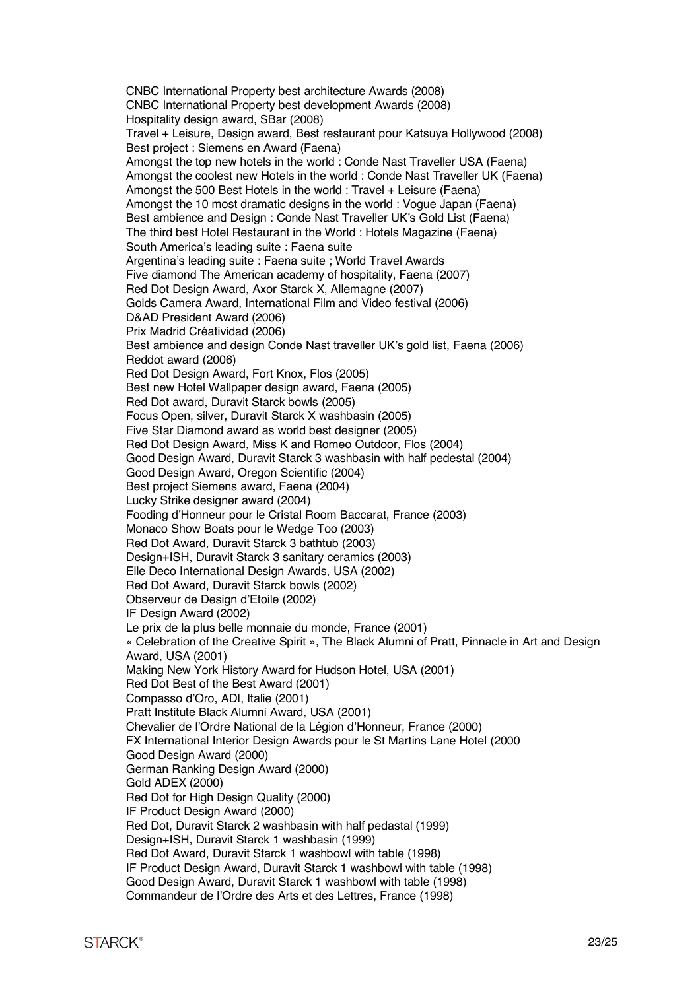CNBC International Property best architecture Awards (2008) CNBC International Property best development Awards (2008) Hospitality design award, SBar (2008) Travel + Leisure, Design award, Best restaurant pour Katsuya Hollywood (2008) Best project : Siemens en Award (Faena) Amongst the top new hotels in the world : Conde Nast Traveller USA (Faena) Amongst the coolest new Hotels in the world : Conde Nast Traveller UK (Faena) Amongst the 500 Best Hotels in the world : Travel + Leisure (Faena) Amongst the 10 most dramatic designs in the world : Vogue Japan (Faena) Best ambience and Design : Conde Nast Traveller UK's Gold List (Faena) The third best Hotel Restaurant in the World : Hotels Magazine (Faena) South America's leading suite : Faena suite Argentina's leading suite : Faena suite ; World Travel Awards Five diamond The American academy of hospitality, Faena (2007) Red Dot Design Award, Axor Starck X, Allemagne (2007) Golds Camera Award, International Film and Video festival (2006) D&AD President Award (2006) Prix Madrid Créatividad (2006) Best ambience and design Conde Nast traveller UK's gold list, Faena (2006) Reddot award (2006) Red Dot Design Award, Fort Knox, Flos (2005) Best new Hotel Wallpaper design award, Faena (2005) Red Dot award, Duravit Starck bowls (2005) Focus Open, silver, Duravit Starck X washbasin (2005) Five Star Diamond award as world best designer (2005) Red Dot Design Award, Miss K and Romeo Outdoor, Flos (2004) Good Design Award, Duravit Starck 3 washbasin with half pedestal (2004) Good Design Award, Oregon Scientific (2004) Best project Siemens award, Faena (2004) Lucky Strike designer award (2004) Fooding d'Honneur pour le Cristal Room Baccarat, France (2003) Monaco Show Boats pour le Wedge Too (2003) Red Dot Award, Duravit Starck 3 bathtub (2003) Design+ISH, Duravit Starck 3 sanitary ceramics (2003) Elle Deco International Design Awards, USA (2002) Red Dot Award, Duravit Starck bowls (2002) Observeur de Design d'Etoile (2002) IF Design Award (2002) Le prix de la plus belle monnaie du monde, France (2001) « Celebration of the Creative Spirit », The Black Alumni of Pratt, Pinnacle in Art and Design Award, USA (2001) Making New York History Award for Hudson Hotel, USA (2001) Red Dot Best of the Best Award (2001) Compasso d'Oro, ADI, Italie (2001) Pratt Institute Black Alumni Award, USA (2001) Chevalier de l'Ordre National de la Légion d'Honneur, France (2000) FX International Interior Design Awards pour le St Martins Lane Hotel (2000 Good Design Award (2000) German Ranking Design Award (2000) Gold ADEX (2000) Red Dot for High Design Quality (2000) IF Product Design Award (2000) Red Dot, Duravit Starck 2 washbasin with half pedastal (1999) Design+ISH, Duravit Starck 1 washbasin (1999) Red Dot Award, Duravit Starck 1 washbowl with table (1998) IF Product Design Award, Duravit Starck 1 washbowl with table (1998) Good Design Award, Duravit Starck 1 washbowl with table (1998) Commandeur de l'Ordre des Arts et des Lettres, France (1998)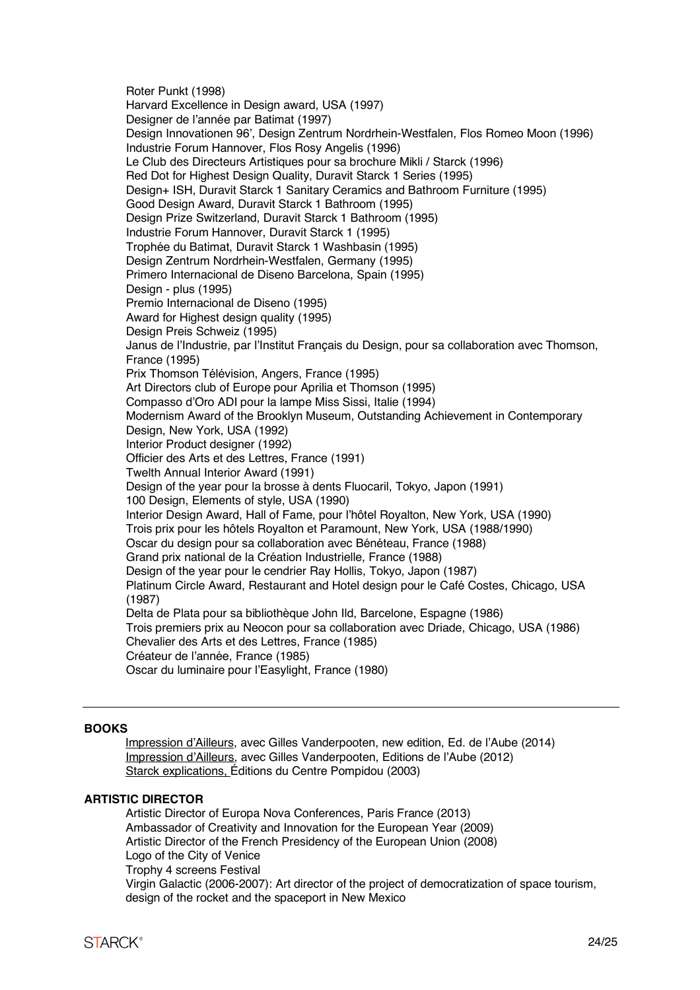Roter Punkt (1998) Harvard Excellence in Design award, USA (1997) Designer de l'année par Batimat (1997) Design Innovationen 96', Design Zentrum Nordrhein-Westfalen, Flos Romeo Moon (1996) Industrie Forum Hannover, Flos Rosy Angelis (1996) Le Club des Directeurs Artistiques pour sa brochure Mikli / Starck (1996) Red Dot for Highest Design Quality, Duravit Starck 1 Series (1995) Design+ ISH, Duravit Starck 1 Sanitary Ceramics and Bathroom Furniture (1995) Good Design Award, Duravit Starck 1 Bathroom (1995) Design Prize Switzerland, Duravit Starck 1 Bathroom (1995) Industrie Forum Hannover, Duravit Starck 1 (1995) Trophée du Batimat, Duravit Starck 1 Washbasin (1995) Design Zentrum Nordrhein-Westfalen, Germany (1995) Primero Internacional de Diseno Barcelona, Spain (1995) Design - plus (1995) Premio Internacional de Diseno (1995) Award for Highest design quality (1995) Design Preis Schweiz (1995) Janus de l'Industrie, par l'Institut Français du Design, pour sa collaboration avec Thomson, France (1995) Prix Thomson Télévision, Angers, France (1995) Art Directors club of Europe pour Aprilia et Thomson (1995) Compasso d'Oro ADI pour la lampe Miss Sissi, Italie (1994) Modernism Award of the Brooklyn Museum, Outstanding Achievement in Contemporary Design, New York, USA (1992) Interior Product designer (1992) Officier des Arts et des Lettres, France (1991) Twelth Annual Interior Award (1991) Design of the year pour la brosse à dents Fluocaril, Tokyo, Japon (1991) 100 Design, Elements of style, USA (1990) Interior Design Award, Hall of Fame, pour l'hôtel Royalton, New York, USA (1990) Trois prix pour les hôtels Royalton et Paramount, New York, USA (1988/1990) Oscar du design pour sa collaboration avec Bénéteau, France (1988) Grand prix national de la Création Industrielle, France (1988) Design of the year pour le cendrier Ray Hollis, Tokyo, Japon (1987) Platinum Circle Award, Restaurant and Hotel design pour le Café Costes, Chicago, USA (1987) Delta de Plata pour sa bibliothèque John Ild, Barcelone, Espagne (1986) Trois premiers prix au Neocon pour sa collaboration avec Driade, Chicago, USA (1986) Chevalier des Arts et des Lettres, France (1985) Créateur de l'année, France (1985) Oscar du luminaire pour l'Easylight, France (1980)

# **BOOKS**

Impression d'Ailleurs, avec Gilles Vanderpooten, new edition, Ed. de l'Aube (2014) Impression d'Ailleurs, avec Gilles Vanderpooten, Editions de l'Aube (2012) Starck explications, Éditions du Centre Pompidou (2003)

## **ARTISTIC DIRECTOR**

Artistic Director of Europa Nova Conferences, Paris France (2013) Ambassador of Creativity and Innovation for the European Year (2009) Artistic Director of the French Presidency of the European Union (2008) Logo of the City of Venice Trophy 4 screens Festival Virgin Galactic (2006-2007): Art director of the project of democratization of space tourism, design of the rocket and the spaceport in New Mexico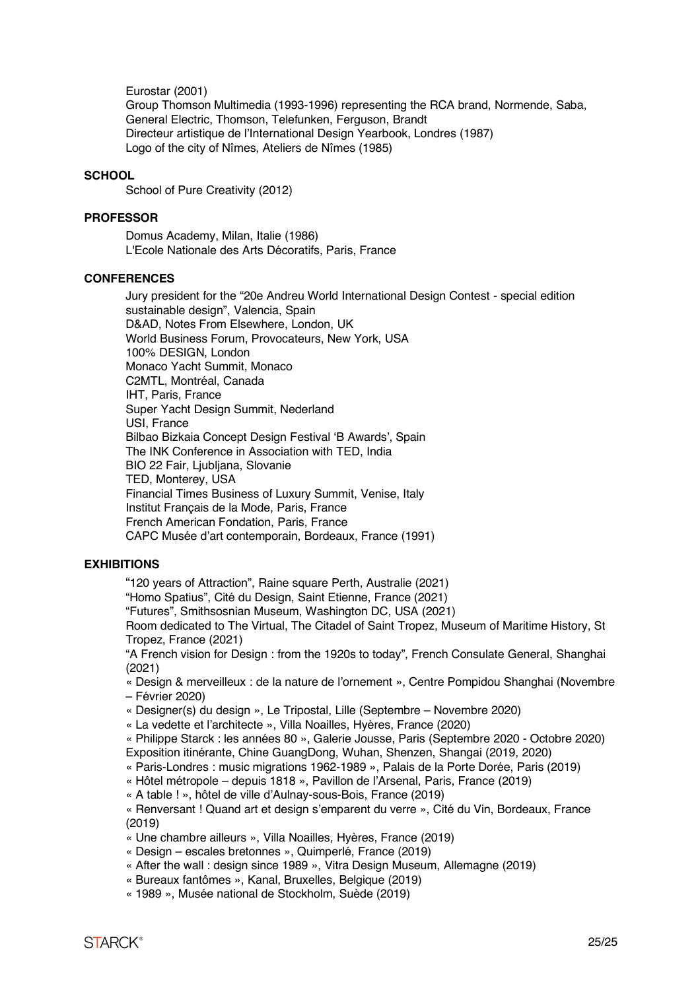Eurostar (2001) Group Thomson Multimedia (1993-1996) representing the RCA brand, Normende, Saba, General Electric, Thomson, Telefunken, Ferguson, Brandt Directeur artistique de l'International Design Yearbook, Londres (1987) Logo of the city of Nîmes, Ateliers de Nîmes (1985)

## **SCHOOL**

School of Pure Creativity (2012)

## **PROFESSOR**

Domus Academy, Milan, Italie (1986) L'Ecole Nationale des Arts Décoratifs, Paris, France

# **CONFERENCES**

Jury president for the "20e Andreu World International Design Contest - special edition sustainable design", Valencia, Spain D&AD, Notes From Elsewhere, London, UK World Business Forum, Provocateurs, New York, USA 100% DESIGN, London Monaco Yacht Summit, Monaco C2MTL, Montréal, Canada IHT, Paris, France Super Yacht Design Summit, Nederland USI, France Bilbao Bizkaia Concept Design Festival 'B Awards', Spain The INK Conference in Association with TED, India BIO 22 Fair, Ljubljana, Slovanie TED, Monterey, USA Financial Times Business of Luxury Summit, Venise, Italy Institut Français de la Mode, Paris, France French American Fondation, Paris, France CAPC Musée d'art contemporain, Bordeaux, France (1991)

#### **EXHIBITIONS**

"120 years of Attraction", Raine square Perth, Australie (2021)

"Homo Spatius", Cité du Design, Saint Etienne, France (2021)

"Futures", Smithsosnian Museum, Washington DC, USA (2021)

Room dedicated to The Virtual, The Citadel of Saint Tropez, Museum of Maritime History, St Tropez, France (2021)

"A French vision for Design : from the 1920s to today", French Consulate General, Shanghai (2021)

« Design & merveilleux : de la nature de l'ornement », Centre Pompidou Shanghai (Novembre – Février 2020)

« Designer(s) du design », Le Tripostal, Lille (Septembre – Novembre 2020)

« La vedette et l'architecte », Villa Noailles, Hyères, France (2020)

« Philippe Starck : les années 80 », Galerie Jousse, Paris (Septembre 2020 - Octobre 2020) Exposition itinérante, Chine GuangDong, Wuhan, Shenzen, Shangai (2019, 2020)

« Paris-Londres : music migrations 1962-1989 », Palais de la Porte Dorée, Paris (2019)

« Hôtel métropole – depuis 1818 », Pavillon de l'Arsenal, Paris, France (2019)

« A table ! », hôtel de ville d'Aulnay-sous-Bois, France (2019)

« Renversant ! Quand art et design s'emparent du verre », Cité du Vin, Bordeaux, France (2019)

« Une chambre ailleurs », Villa Noailles, Hyères, France (2019)

- « Design escales bretonnes », Quimperlé, France (2019)
- « After the wall : design since 1989 », Vitra Design Museum, Allemagne (2019)
- « Bureaux fantômes », Kanal, Bruxelles, Belgique (2019)
- « 1989 », Musée national de Stockholm, Suède (2019)